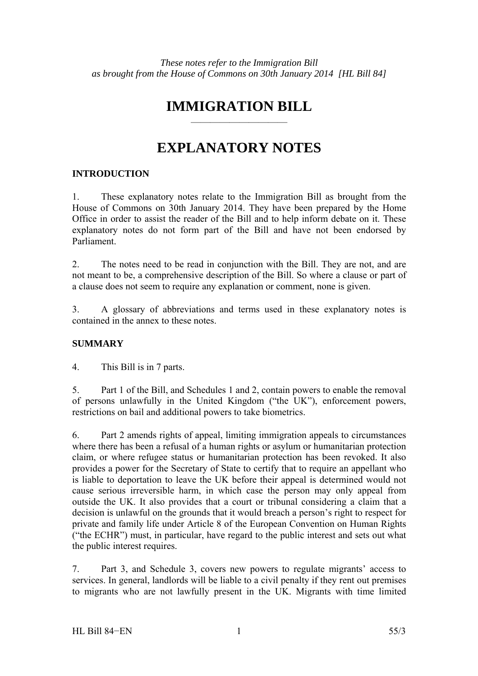# **IMMIGRATION BILL**

——————————

# **EXPLANATORY NOTES**

# **INTRODUCTION**

1. These explanatory notes relate to the Immigration Bill as brought from the House of Commons on 30th January 2014. They have been prepared by the Home Office in order to assist the reader of the Bill and to help inform debate on it. These explanatory notes do not form part of the Bill and have not been endorsed by Parliament.

2. The notes need to be read in conjunction with the Bill. They are not, and are not meant to be, a comprehensive description of the Bill. So where a clause or part of a clause does not seem to require any explanation or comment, none is given.

3. A glossary of abbreviations and terms used in these explanatory notes is contained in the annex to these notes.

# **SUMMARY**

4. This Bill is in 7 parts.

5. Part 1 of the Bill, and Schedules 1 and 2, contain powers to enable the removal of persons unlawfully in the United Kingdom ("the UK"), enforcement powers, restrictions on bail and additional powers to take biometrics.

6. Part 2 amends rights of appeal, limiting immigration appeals to circumstances where there has been a refusal of a human rights or asylum or humanitarian protection claim, or where refugee status or humanitarian protection has been revoked. It also provides a power for the Secretary of State to certify that to require an appellant who is liable to deportation to leave the UK before their appeal is determined would not cause serious irreversible harm, in which case the person may only appeal from outside the UK. It also provides that a court or tribunal considering a claim that a decision is unlawful on the grounds that it would breach a person's right to respect for private and family life under Article 8 of the European Convention on Human Rights ("the ECHR") must, in particular, have regard to the public interest and sets out what the public interest requires.

7. Part 3, and Schedule 3, covers new powers to regulate migrants' access to services. In general, landlords will be liable to a civil penalty if they rent out premises to migrants who are not lawfully present in the UK. Migrants with time limited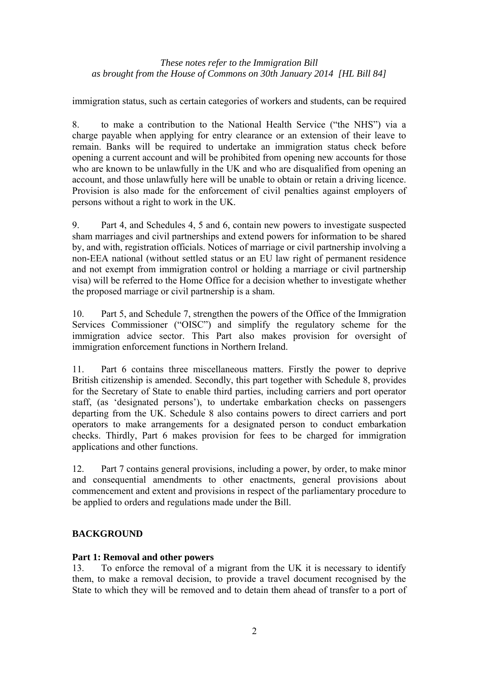immigration status, such as certain categories of workers and students, can be required

8. to make a contribution to the National Health Service ("the NHS") via a charge payable when applying for entry clearance or an extension of their leave to remain. Banks will be required to undertake an immigration status check before opening a current account and will be prohibited from opening new accounts for those who are known to be unlawfully in the UK and who are disqualified from opening an account, and those unlawfully here will be unable to obtain or retain a driving licence. Provision is also made for the enforcement of civil penalties against employers of persons without a right to work in the UK.

9. Part 4, and Schedules 4, 5 and 6, contain new powers to investigate suspected sham marriages and civil partnerships and extend powers for information to be shared by, and with, registration officials. Notices of marriage or civil partnership involving a non-EEA national (without settled status or an EU law right of permanent residence and not exempt from immigration control or holding a marriage or civil partnership visa) will be referred to the Home Office for a decision whether to investigate whether the proposed marriage or civil partnership is a sham.

10. Part 5, and Schedule 7, strengthen the powers of the Office of the Immigration Services Commissioner ("OISC") and simplify the regulatory scheme for the immigration advice sector. This Part also makes provision for oversight of immigration enforcement functions in Northern Ireland.

11. Part 6 contains three miscellaneous matters. Firstly the power to deprive British citizenship is amended. Secondly, this part together with Schedule 8, provides for the Secretary of State to enable third parties, including carriers and port operator staff, (as 'designated persons'), to undertake embarkation checks on passengers departing from the UK. Schedule 8 also contains powers to direct carriers and port operators to make arrangements for a designated person to conduct embarkation checks. Thirdly, Part 6 makes provision for fees to be charged for immigration applications and other functions.

12. Part 7 contains general provisions, including a power, by order, to make minor and consequential amendments to other enactments, general provisions about commencement and extent and provisions in respect of the parliamentary procedure to be applied to orders and regulations made under the Bill.

# **BACKGROUND**

# **Part 1: Removal and other powers**

13. To enforce the removal of a migrant from the UK it is necessary to identify them, to make a removal decision, to provide a travel document recognised by the State to which they will be removed and to detain them ahead of transfer to a port of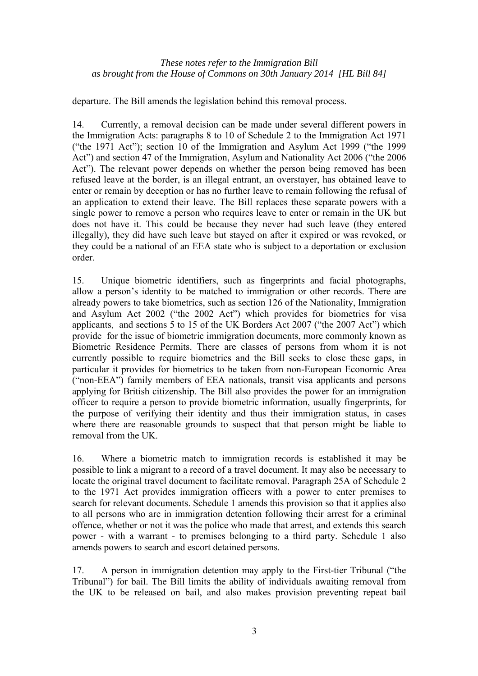departure. The Bill amends the legislation behind this removal process.

14. Currently, a removal decision can be made under several different powers in the Immigration Acts: paragraphs 8 to 10 of Schedule 2 to the Immigration Act 1971 ("the 1971 Act"); section 10 of the Immigration and Asylum Act 1999 ("the 1999 Act") and section 47 of the Immigration, Asylum and Nationality Act 2006 ("the 2006 Act"). The relevant power depends on whether the person being removed has been refused leave at the border, is an illegal entrant, an overstayer, has obtained leave to enter or remain by deception or has no further leave to remain following the refusal of an application to extend their leave. The Bill replaces these separate powers with a single power to remove a person who requires leave to enter or remain in the UK but does not have it. This could be because they never had such leave (they entered illegally), they did have such leave but stayed on after it expired or was revoked, or they could be a national of an EEA state who is subject to a deportation or exclusion order.

15. Unique biometric identifiers, such as fingerprints and facial photographs, allow a person's identity to be matched to immigration or other records. There are already powers to take biometrics, such as section 126 of the Nationality, Immigration and Asylum Act 2002 ("the 2002 Act") which provides for biometrics for visa applicants, and sections 5 to 15 of the UK Borders Act 2007 ("the 2007 Act") which provide for the issue of biometric immigration documents, more commonly known as Biometric Residence Permits. There are classes of persons from whom it is not currently possible to require biometrics and the Bill seeks to close these gaps, in particular it provides for biometrics to be taken from non-European Economic Area ("non-EEA") family members of EEA nationals, transit visa applicants and persons applying for British citizenship. The Bill also provides the power for an immigration officer to require a person to provide biometric information, usually fingerprints, for the purpose of verifying their identity and thus their immigration status, in cases where there are reasonable grounds to suspect that that person might be liable to removal from the UK.

16. Where a biometric match to immigration records is established it may be possible to link a migrant to a record of a travel document. It may also be necessary to locate the original travel document to facilitate removal. Paragraph 25A of Schedule 2 to the 1971 Act provides immigration officers with a power to enter premises to search for relevant documents. Schedule 1 amends this provision so that it applies also to all persons who are in immigration detention following their arrest for a criminal offence, whether or not it was the police who made that arrest, and extends this search power - with a warrant - to premises belonging to a third party. Schedule 1 also amends powers to search and escort detained persons.

17. A person in immigration detention may apply to the First-tier Tribunal ("the Tribunal") for bail. The Bill limits the ability of individuals awaiting removal from the UK to be released on bail, and also makes provision preventing repeat bail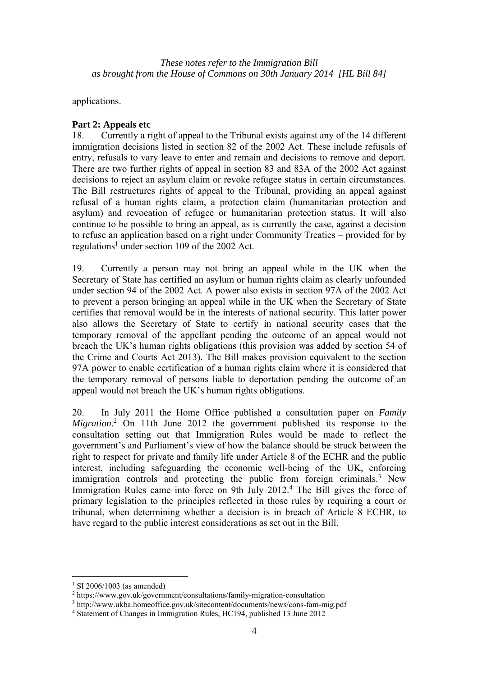applications.

# **Part 2: Appeals etc**

18. Currently a right of appeal to the Tribunal exists against any of the 14 different immigration decisions listed in section 82 of the 2002 Act. These include refusals of entry, refusals to vary leave to enter and remain and decisions to remove and deport. There are two further rights of appeal in section 83 and 83A of the 2002 Act against decisions to reject an asylum claim or revoke refugee status in certain circumstances. The Bill restructures rights of appeal to the Tribunal, providing an appeal against refusal of a human rights claim, a protection claim (humanitarian protection and asylum) and revocation of refugee or humanitarian protection status. It will also continue to be possible to bring an appeal, as is currently the case, against a decision to refuse an application based on a right under Community Treaties – provided for by regulations<sup>1</sup> under section 109 of the 2002 Act.

19. Currently a person may not bring an appeal while in the UK when the Secretary of State has certified an asylum or human rights claim as clearly unfounded under section 94 of the 2002 Act. A power also exists in section 97A of the 2002 Act to prevent a person bringing an appeal while in the UK when the Secretary of State certifies that removal would be in the interests of national security. This latter power also allows the Secretary of State to certify in national security cases that the temporary removal of the appellant pending the outcome of an appeal would not breach the UK's human rights obligations (this provision was added by section 54 of the Crime and Courts Act 2013). The Bill makes provision equivalent to the section 97A power to enable certification of a human rights claim where it is considered that the temporary removal of persons liable to deportation pending the outcome of an appeal would not breach the UK's human rights obligations.

20. In July 2011 the Home Office published a consultation paper on *Family*  Migration.<sup>2</sup> On 11th June 2012 the government published its response to the consultation setting out that Immigration Rules would be made to reflect the government's and Parliament's view of how the balance should be struck between the right to respect for private and family life under Article 8 of the ECHR and the public interest, including safeguarding the economic well-being of the UK, enforcing immigration controls and protecting the public from foreign criminals.<sup>3</sup> New Immigration Rules came into force on 9th July 2012.<sup>4</sup> The Bill gives the force of primary legislation to the principles reflected in those rules by requiring a court or tribunal, when determining whether a decision is in breach of Article 8 ECHR, to have regard to the public interest considerations as set out in the Bill.

 $\overline{a}$ 

<sup>1</sup> SI 2006/1003 (as amended)

<sup>2</sup> https://www.gov.uk/government/consultations/family-migration-consultation

 $3 \text{ http://www.ukba.homeoffice.gov.uk/sitecontent/documents/news/cons-fam-mig.pdf}$ <br> $4 \text{Statement of Changes in Immigration Rules HCl94 published 13 June 2012}$ 

Statement of Changes in Immigration Rules, HC194, published 13 June 2012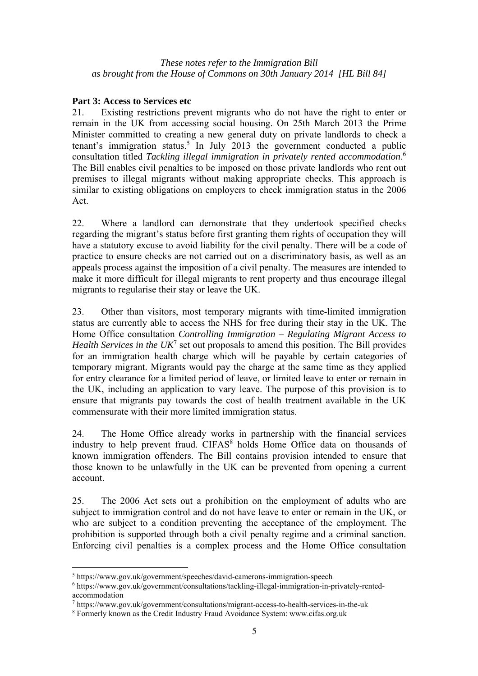### **Part 3: Access to Services etc**

21. Existing restrictions prevent migrants who do not have the right to enter or remain in the UK from accessing social housing. On 25th March 2013 the Prime Minister committed to creating a new general duty on private landlords to check a tenant's immigration status.<sup>5</sup> In July 2013 the government conducted a public consultation titled *Tackling illegal immigration in privately rented accommodation*. 6 The Bill enables civil penalties to be imposed on those private landlords who rent out premises to illegal migrants without making appropriate checks. This approach is similar to existing obligations on employers to check immigration status in the 2006 Act.

22. Where a landlord can demonstrate that they undertook specified checks regarding the migrant's status before first granting them rights of occupation they will have a statutory excuse to avoid liability for the civil penalty. There will be a code of practice to ensure checks are not carried out on a discriminatory basis, as well as an appeals process against the imposition of a civil penalty. The measures are intended to make it more difficult for illegal migrants to rent property and thus encourage illegal migrants to regularise their stay or leave the UK.

23. Other than visitors, most temporary migrants with time-limited immigration status are currently able to access the NHS for free during their stay in the UK. The Home Office consultation *Controlling Immigration – Regulating Migrant Access to Health Services in the UK*<sup>7</sup> set out proposals to amend this position. The Bill provides for an immigration health charge which will be payable by certain categories of temporary migrant. Migrants would pay the charge at the same time as they applied for entry clearance for a limited period of leave, or limited leave to enter or remain in the UK, including an application to vary leave. The purpose of this provision is to ensure that migrants pay towards the cost of health treatment available in the UK commensurate with their more limited immigration status.

24. The Home Office already works in partnership with the financial services industry to help prevent fraud. CIFAS<sup>8</sup> holds Home Office data on thousands of known immigration offenders. The Bill contains provision intended to ensure that those known to be unlawfully in the UK can be prevented from opening a current account.

25. The 2006 Act sets out a prohibition on the employment of adults who are subject to immigration control and do not have leave to enter or remain in the UK, or who are subject to a condition preventing the acceptance of the employment. The prohibition is supported through both a civil penalty regime and a criminal sanction. Enforcing civil penalties is a complex process and the Home Office consultation

 $\overline{a}$ 

<sup>&</sup>lt;sup>5</sup> https://www.gov.uk/government/speeches/david-camerons-immigration-speech  $\frac{6 \text{ https://www.gov.uk/coverment/consultations/teckling}}{6 \text{ https://www.gov.uk/coverment/consultations/teckling}}$ 

https://www.gov.uk/government/consultations/tackling-illegal-immigration-in-privately-rentedaccommodation

 $^7$  https://www.gov.uk/government/consultations/migrant-access-to-health-services-in-the-uk<br>8 Eormerly known as the Credit Industry Fraud Avoidance System: www.cifas.org.uk

Formerly known as the Credit Industry Fraud Avoidance System: www.cifas.org.uk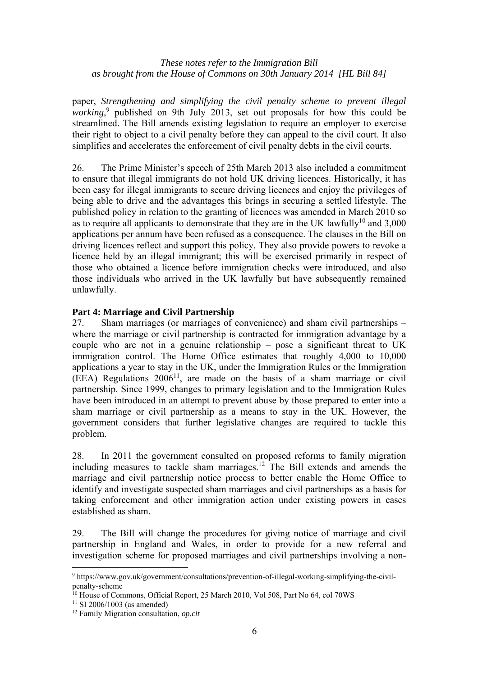paper, *Strengthening and simplifying the civil penalty scheme to prevent illegal*  working,<sup>9</sup> published on 9th July 2013, set out proposals for how this could be streamlined. The Bill amends existing legislation to require an employer to exercise their right to object to a civil penalty before they can appeal to the civil court. It also simplifies and accelerates the enforcement of civil penalty debts in the civil courts.

26. The Prime Minister's speech of 25th March 2013 also included a commitment to ensure that illegal immigrants do not hold UK driving licences. Historically, it has been easy for illegal immigrants to secure driving licences and enjoy the privileges of being able to drive and the advantages this brings in securing a settled lifestyle. The published policy in relation to the granting of licences was amended in March 2010 so as to require all applicants to demonstrate that they are in the UK lawfully<sup>10</sup> and  $3,000$ applications per annum have been refused as a consequence. The clauses in the Bill on driving licences reflect and support this policy. They also provide powers to revoke a licence held by an illegal immigrant; this will be exercised primarily in respect of those who obtained a licence before immigration checks were introduced, and also those individuals who arrived in the UK lawfully but have subsequently remained unlawfully.

# **Part 4: Marriage and Civil Partnership**

27. Sham marriages (or marriages of convenience) and sham civil partnerships – where the marriage or civil partnership is contracted for immigration advantage by a couple who are not in a genuine relationship – pose a significant threat to UK immigration control. The Home Office estimates that roughly 4,000 to 10,000 applications a year to stay in the UK, under the Immigration Rules or the Immigration  $(EEA)$  Regulations  $2006<sup>11</sup>$ , are made on the basis of a sham marriage or civil partnership. Since 1999, changes to primary legislation and to the Immigration Rules have been introduced in an attempt to prevent abuse by those prepared to enter into a sham marriage or civil partnership as a means to stay in the UK. However, the government considers that further legislative changes are required to tackle this problem.

28. In 2011 the government consulted on proposed reforms to family migration 26. In 2011 the government construct on proposed account of the Bill extends and amends the marriage and civil partnership notice process to better enable the Home Office to identify and investigate suspected sham marriages and civil partnerships as a basis for taking enforcement and other immigration action under existing powers in cases established as sham.

29. The Bill will change the procedures for giving notice of marriage and civil partnership in England and Wales, in order to provide for a new referral and investigation scheme for proposed marriages and civil partnerships involving a non-

 9 https://www.gov.uk/government/consultations/prevention-of-illegal-working-simplifying-the-civilpenalty-scheme

<sup>&</sup>lt;sup>10</sup> House of Commons, Official Report, 25 March 2010, Vol 508, Part No 64, col 70WS

 $11$  SI 2006/1003 (as amended)

<sup>12</sup> Family Migration consultation, *op.cit*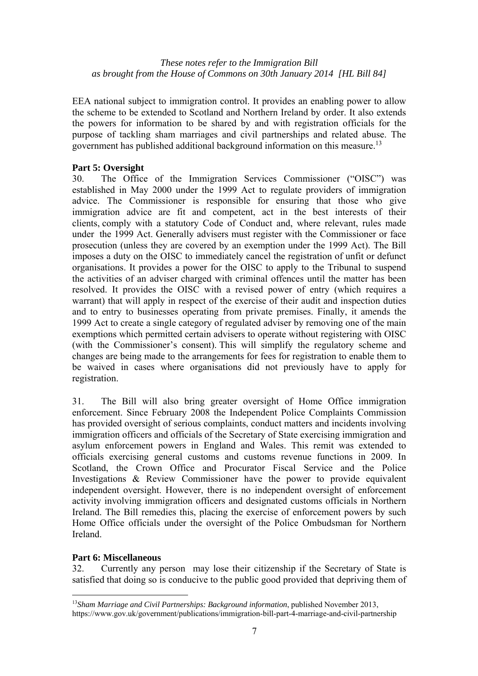EEA national subject to immigration control. It provides an enabling power to allow the scheme to be extended to Scotland and Northern Ireland by order. It also extends the powers for information to be shared by and with registration officials for the purpose of tackling sham marriages and civil partnerships and related abuse. The government has published additional background information on this measure.13

# **Part 5: Oversight**

30. The Office of the Immigration Services Commissioner ("OISC") was established in May 2000 under the 1999 Act to regulate providers of immigration advice. The Commissioner is responsible for ensuring that those who give immigration advice are fit and competent, act in the best interests of their clients, comply with a statutory Code of Conduct and, where relevant, rules made under the 1999 Act. Generally advisers must register with the Commissioner or face prosecution (unless they are covered by an exemption under the 1999 Act). The Bill imposes a duty on the OISC to immediately cancel the registration of unfit or defunct organisations. It provides a power for the OISC to apply to the Tribunal to suspend the activities of an adviser charged with criminal offences until the matter has been resolved. It provides the OISC with a revised power of entry (which requires a warrant) that will apply in respect of the exercise of their audit and inspection duties and to entry to businesses operating from private premises. Finally, it amends the 1999 Act to create a single category of regulated adviser by removing one of the main exemptions which permitted certain advisers to operate without registering with OISC (with the Commissioner's consent). This will simplify the regulatory scheme and changes are being made to the arrangements for fees for registration to enable them to be waived in cases where organisations did not previously have to apply for registration.

31. The Bill will also bring greater oversight of Home Office immigration enforcement. Since February 2008 the Independent Police Complaints Commission has provided oversight of serious complaints, conduct matters and incidents involving immigration officers and officials of the Secretary of State exercising immigration and asylum enforcement powers in England and Wales. This remit was extended to officials exercising general customs and customs revenue functions in 2009. In Scotland, the Crown Office and Procurator Fiscal Service and the Police Investigations & Review Commissioner have the power to provide equivalent independent oversight. However, there is no independent oversight of enforcement activity involving immigration officers and designated customs officials in Northern Ireland. The Bill remedies this, placing the exercise of enforcement powers by such Home Office officials under the oversight of the Police Ombudsman for Northern Ireland.

# **Part 6: Miscellaneous**

 $\overline{a}$ 

32. Currently any person may lose their citizenship if the Secretary of State is satisfied that doing so is conducive to the public good provided that depriving them of

<sup>13</sup>*Sham Marriage and Civil Partnerships: Background information*, published November 2013, https://www.gov.uk/government/publications/immigration-bill-part-4-marriage-and-civil-partnership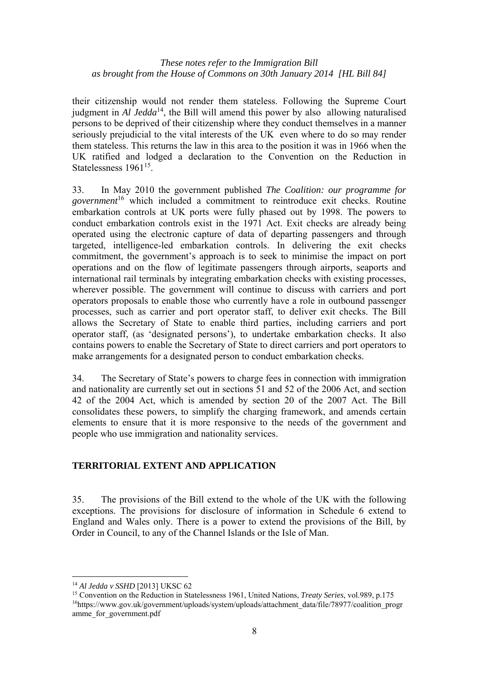their citizenship would not render them stateless. Following the Supreme Court judgment in *Al Jedda*<sup>14</sup>, the Bill will amend this power by also allowing naturalised persons to be deprived of their citizenship where they conduct themselves in a manner seriously prejudicial to the vital interests of the UK even where to do so may render them stateless. This returns the law in this area to the position it was in 1966 when the UK ratified and lodged a declaration to the Convention on the Reduction in Statelessness 1961<sup>15</sup>.

33. In May 2010 the government published *The Coalition: our programme for government*16 which included a commitment to reintroduce exit checks. Routine embarkation controls at UK ports were fully phased out by 1998. The powers to conduct embarkation controls exist in the 1971 Act. Exit checks are already being operated using the electronic capture of data of departing passengers and through targeted, intelligence-led embarkation controls. In delivering the exit checks commitment, the government's approach is to seek to minimise the impact on port operations and on the flow of legitimate passengers through airports, seaports and international rail terminals by integrating embarkation checks with existing processes, wherever possible. The government will continue to discuss with carriers and port operators proposals to enable those who currently have a role in outbound passenger processes, such as carrier and port operator staff, to deliver exit checks. The Bill allows the Secretary of State to enable third parties, including carriers and port operator staff, (as 'designated persons'), to undertake embarkation checks. It also contains powers to enable the Secretary of State to direct carriers and port operators to make arrangements for a designated person to conduct embarkation checks.

34. The Secretary of State's powers to charge fees in connection with immigration and nationality are currently set out in sections 51 and 52 of the 2006 Act, and section 42 of the 2004 Act, which is amended by section 20 of the 2007 Act. The Bill consolidates these powers, to simplify the charging framework, and amends certain elements to ensure that it is more responsive to the needs of the government and people who use immigration and nationality services.

# **TERRITORIAL EXTENT AND APPLICATION**

35. The provisions of the Bill extend to the whole of the UK with the following exceptions. The provisions for disclosure of information in Schedule 6 extend to England and Wales only. There is a power to extend the provisions of the Bill, by Order in Council, to any of the Channel Islands or the Isle of Man.

 $\overline{a}$ 

<sup>&</sup>lt;sup>14</sup> Al Jedda v SSHD [2013] UKSC 62<br><sup>15</sup> Convention on the Reduction in Statelessness 1961, United Nations, *Treaty Series*, vol.989, p.175<br><sup>16</sup>https://www.gov.uk/government/uploads/system/uploads/attachment\_data/file/789 amme\_for\_government.pdf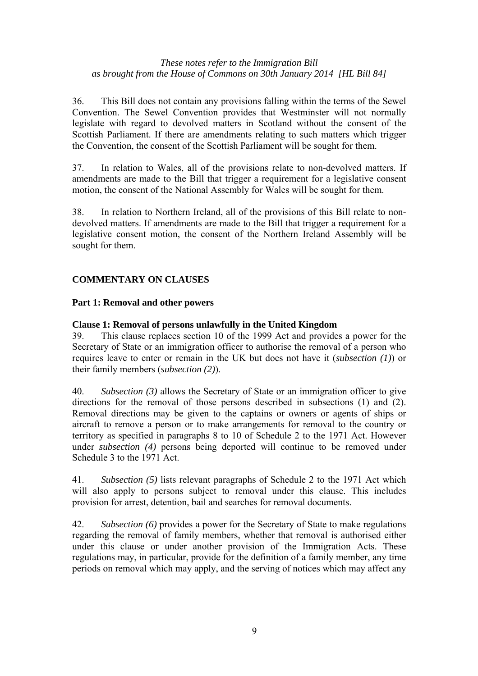36. This Bill does not contain any provisions falling within the terms of the Sewel Convention. The Sewel Convention provides that Westminster will not normally legislate with regard to devolved matters in Scotland without the consent of the Scottish Parliament. If there are amendments relating to such matters which trigger the Convention, the consent of the Scottish Parliament will be sought for them.

37. In relation to Wales, all of the provisions relate to non-devolved matters. If amendments are made to the Bill that trigger a requirement for a legislative consent motion, the consent of the National Assembly for Wales will be sought for them.

38. In relation to Northern Ireland, all of the provisions of this Bill relate to nondevolved matters. If amendments are made to the Bill that trigger a requirement for a legislative consent motion, the consent of the Northern Ireland Assembly will be sought for them.

# **COMMENTARY ON CLAUSES**

# **Part 1: Removal and other powers**

### **Clause 1: Removal of persons unlawfully in the United Kingdom**

39. This clause replaces section 10 of the 1999 Act and provides a power for the Secretary of State or an immigration officer to authorise the removal of a person who requires leave to enter or remain in the UK but does not have it (*subsection (1)*) or their family members (*subsection (2)*).

40. *Subsection (3)* allows the Secretary of State or an immigration officer to give directions for the removal of those persons described in subsections (1) and (2). Removal directions may be given to the captains or owners or agents of ships or aircraft to remove a person or to make arrangements for removal to the country or territory as specified in paragraphs 8 to 10 of Schedule 2 to the 1971 Act. However under *subsection (4)* persons being deported will continue to be removed under Schedule 3 to the 1971 Act.

41. *Subsection (5)* lists relevant paragraphs of Schedule 2 to the 1971 Act which will also apply to persons subject to removal under this clause. This includes provision for arrest, detention, bail and searches for removal documents.

42. *Subsection (6)* provides a power for the Secretary of State to make regulations regarding the removal of family members, whether that removal is authorised either under this clause or under another provision of the Immigration Acts. These regulations may, in particular, provide for the definition of a family member, any time periods on removal which may apply, and the serving of notices which may affect any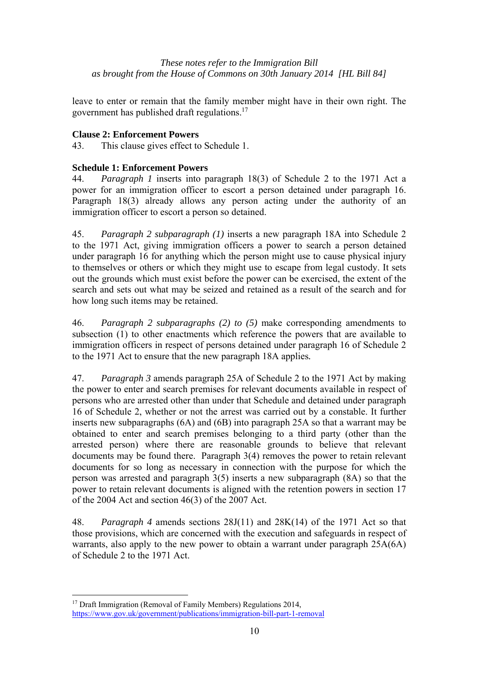leave to enter or remain that the family member might have in their own right. The government has published draft regulations.17

# **Clause 2: Enforcement Powers**

43. This clause gives effect to Schedule 1.

# **Schedule 1: Enforcement Powers**

44. *Paragraph 1* inserts into paragraph 18(3) of Schedule 2 to the 1971 Act a power for an immigration officer to escort a person detained under paragraph 16. Paragraph 18(3) already allows any person acting under the authority of an immigration officer to escort a person so detained.

45. *Paragraph 2 subparagraph (1)* inserts a new paragraph 18A into Schedule 2 to the 1971 Act, giving immigration officers a power to search a person detained under paragraph 16 for anything which the person might use to cause physical injury to themselves or others or which they might use to escape from legal custody. It sets out the grounds which must exist before the power can be exercised, the extent of the search and sets out what may be seized and retained as a result of the search and for how long such items may be retained.

46. *Paragraph 2 subparagraphs (2) to (5)* make corresponding amendments to subsection (1) to other enactments which reference the powers that are available to immigration officers in respect of persons detained under paragraph 16 of Schedule 2 to the 1971 Act to ensure that the new paragraph 18A applies*.* 

47. *Paragraph 3* amends paragraph 25A of Schedule 2 to the 1971 Act by making the power to enter and search premises for relevant documents available in respect of persons who are arrested other than under that Schedule and detained under paragraph 16 of Schedule 2, whether or not the arrest was carried out by a constable. It further inserts new subparagraphs (6A) and (6B) into paragraph 25A so that a warrant may be obtained to enter and search premises belonging to a third party (other than the arrested person) where there are reasonable grounds to believe that relevant documents may be found there. Paragraph 3(4) removes the power to retain relevant documents for so long as necessary in connection with the purpose for which the person was arrested and paragraph 3(5) inserts a new subparagraph (8A) so that the power to retain relevant documents is aligned with the retention powers in section 17 of the 2004 Act and section 46(3) of the 2007 Act.

48. *Paragraph 4* amends sections 28J(11) and 28K(14) of the 1971 Act so that those provisions, which are concerned with the execution and safeguards in respect of warrants, also apply to the new power to obtain a warrant under paragraph 25A(6A) of Schedule 2 to the 1971 Act.

 $\overline{a}$ 

<sup>&</sup>lt;sup>17</sup> Draft Immigration (Removal of Family Members) Regulations 2014, https://www.gov.uk/government/publications/immigration-bill-part-1-removal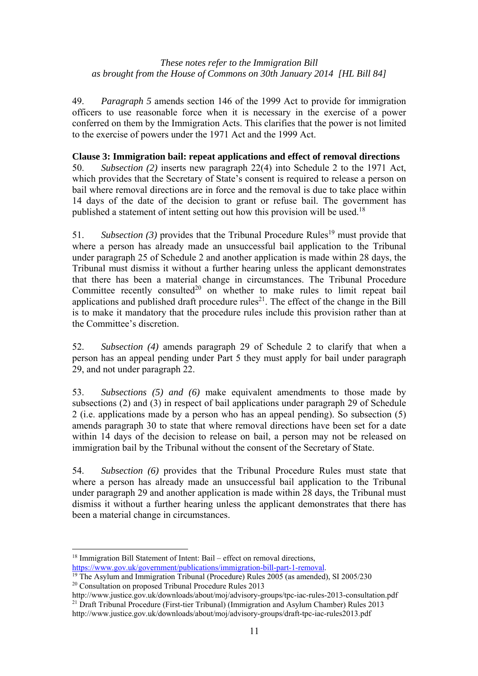49. *Paragraph 5* amends section 146 of the 1999 Act to provide for immigration officers to use reasonable force when it is necessary in the exercise of a power conferred on them by the Immigration Acts. This clarifies that the power is not limited to the exercise of powers under the 1971 Act and the 1999 Act.

# **Clause 3: Immigration bail: repeat applications and effect of removal directions**

50. *Subsection (2)* inserts new paragraph 22(4) into Schedule 2 to the 1971 Act, which provides that the Secretary of State's consent is required to release a person on bail where removal directions are in force and the removal is due to take place within 14 days of the date of the decision to grant or refuse bail. The government has published a statement of intent setting out how this provision will be used.<sup>18</sup>

51. *Subsection (3)* provides that the Tribunal Procedure Rules<sup>19</sup> must provide that where a person has already made an unsuccessful bail application to the Tribunal under paragraph 25 of Schedule 2 and another application is made within 28 days, the Tribunal must dismiss it without a further hearing unless the applicant demonstrates that there has been a material change in circumstances. The Tribunal Procedure Committee recently consulted<sup>20</sup> on whether to make rules to limit repeat bail applications and published draft procedure rules<sup>21</sup>. The effect of the change in the Bill is to make it mandatory that the procedure rules include this provision rather than at the Committee's discretion.

52. *Subsection (4)* amends paragraph 29 of Schedule 2 to clarify that when a person has an appeal pending under Part 5 they must apply for bail under paragraph 29, and not under paragraph 22.

53. *Subsections (5) and (6)* make equivalent amendments to those made by subsections (2) and (3) in respect of bail applications under paragraph 29 of Schedule 2 (i.e. applications made by a person who has an appeal pending). So subsection (5) amends paragraph 30 to state that where removal directions have been set for a date within 14 days of the decision to release on bail, a person may not be released on immigration bail by the Tribunal without the consent of the Secretary of State.

54. *Subsection (6)* provides that the Tribunal Procedure Rules must state that where a person has already made an unsuccessful bail application to the Tribunal under paragraph 29 and another application is made within 28 days, the Tribunal must dismiss it without a further hearing unless the applicant demonstrates that there has been a material change in circumstances.

 $\overline{a}$ <sup>18</sup> Immigration Bill Statement of Intent: Bail – effect on removal directions,<br>https://www.gov.uk/government/publications/immigration-bill-part-1-removal.

<sup>&</sup>lt;sup>19</sup> The Asylum and Immigration Tribunal (Procedure) Rules  $2005$  (as amended), SI 2005/230 20 Consultation on proposed Tribunal Procedure Rules 2013

http://www.justice.gov.uk/downloads/about/moj/advisory-groups/tpc-iac-rules-2013-consultation.pdf 21 Draft Tribunal Procedure (First-tier Tribunal) (Immigration and Asylum Chamber) Rules 2013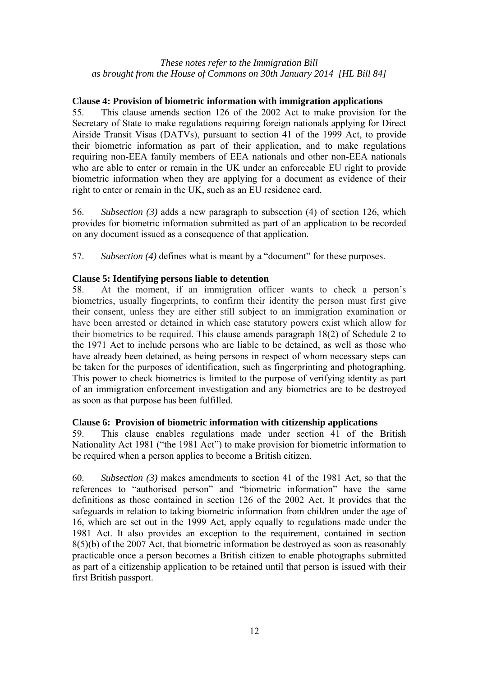# **Clause 4: Provision of biometric information with immigration applications**

55. This clause amends section 126 of the 2002 Act to make provision for the Secretary of State to make regulations requiring foreign nationals applying for Direct Airside Transit Visas (DATVs), pursuant to section 41 of the 1999 Act, to provide their biometric information as part of their application, and to make regulations requiring non-EEA family members of EEA nationals and other non-EEA nationals who are able to enter or remain in the UK under an enforceable EU right to provide biometric information when they are applying for a document as evidence of their right to enter or remain in the UK, such as an EU residence card.

56. *Subsection (3)* adds a new paragraph to subsection (4) of section 126, which provides for biometric information submitted as part of an application to be recorded on any document issued as a consequence of that application.

57. *Subsection (4)* defines what is meant by a "document" for these purposes.

### **Clause 5: Identifying persons liable to detention**

58. At the moment, if an immigration officer wants to check a person's biometrics, usually fingerprints, to confirm their identity the person must first give their consent, unless they are either still subject to an immigration examination or have been arrested or detained in which case statutory powers exist which allow for their biometrics to be required. This clause amends paragraph 18(2) of Schedule 2 to the 1971 Act to include persons who are liable to be detained, as well as those who have already been detained, as being persons in respect of whom necessary steps can be taken for the purposes of identification, such as fingerprinting and photographing. This power to check biometrics is limited to the purpose of verifying identity as part of an immigration enforcement investigation and any biometrics are to be destroyed as soon as that purpose has been fulfilled.

#### **Clause 6: Provision of biometric information with citizenship applications**

59. This clause enables regulations made under section 41 of the British Nationality Act 1981 ("the 1981 Act") to make provision for biometric information to be required when a person applies to become a British citizen.

60. *Subsection (3)* makes amendments to section 41 of the 1981 Act, so that the references to "authorised person" and "biometric information" have the same definitions as those contained in section 126 of the 2002 Act. It provides that the safeguards in relation to taking biometric information from children under the age of 16, which are set out in the 1999 Act, apply equally to regulations made under the 1981 Act. It also provides an exception to the requirement, contained in section 8(5)(b) of the 2007 Act, that biometric information be destroyed as soon as reasonably practicable once a person becomes a British citizen to enable photographs submitted as part of a citizenship application to be retained until that person is issued with their first British passport.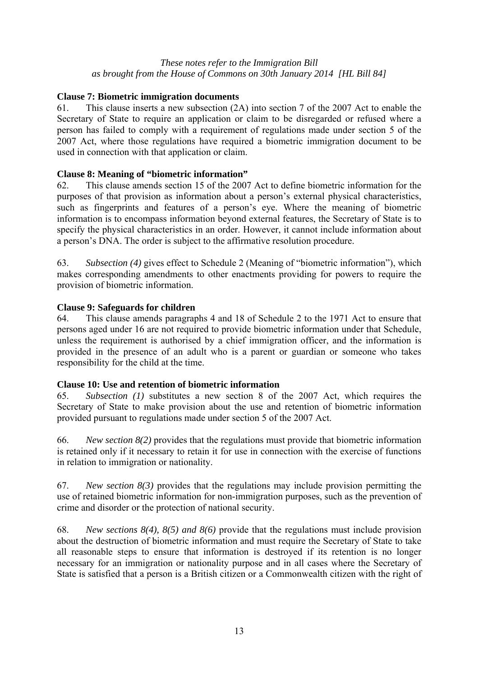# **Clause 7: Biometric immigration documents**

61. This clause inserts a new subsection (2A) into section 7 of the 2007 Act to enable the Secretary of State to require an application or claim to be disregarded or refused where a person has failed to comply with a requirement of regulations made under section 5 of the 2007 Act, where those regulations have required a biometric immigration document to be used in connection with that application or claim.

# **Clause 8: Meaning of "biometric information"**

62. This clause amends section 15 of the 2007 Act to define biometric information for the purposes of that provision as information about a person's external physical characteristics, such as fingerprints and features of a person's eye. Where the meaning of biometric information is to encompass information beyond external features, the Secretary of State is to specify the physical characteristics in an order. However, it cannot include information about a person's DNA. The order is subject to the affirmative resolution procedure.

63. *Subsection (4)* gives effect to Schedule 2 (Meaning of "biometric information"), which makes corresponding amendments to other enactments providing for powers to require the provision of biometric information.

# **Clause 9: Safeguards for children**

64. This clause amends paragraphs 4 and 18 of Schedule 2 to the 1971 Act to ensure that persons aged under 16 are not required to provide biometric information under that Schedule, unless the requirement is authorised by a chief immigration officer, and the information is provided in the presence of an adult who is a parent or guardian or someone who takes responsibility for the child at the time.

# **Clause 10: Use and retention of biometric information**

65. *Subsection (1)* substitutes a new section 8 of the 2007 Act, which requires the Secretary of State to make provision about the use and retention of biometric information provided pursuant to regulations made under section 5 of the 2007 Act.

66. *New section 8(2)* provides that the regulations must provide that biometric information is retained only if it necessary to retain it for use in connection with the exercise of functions in relation to immigration or nationality.

67. *New section 8(3)* provides that the regulations may include provision permitting the use of retained biometric information for non-immigration purposes, such as the prevention of crime and disorder or the protection of national security.

68. *New sections 8(4), 8(5) and 8(6)* provide that the regulations must include provision about the destruction of biometric information and must require the Secretary of State to take all reasonable steps to ensure that information is destroyed if its retention is no longer necessary for an immigration or nationality purpose and in all cases where the Secretary of State is satisfied that a person is a British citizen or a Commonwealth citizen with the right of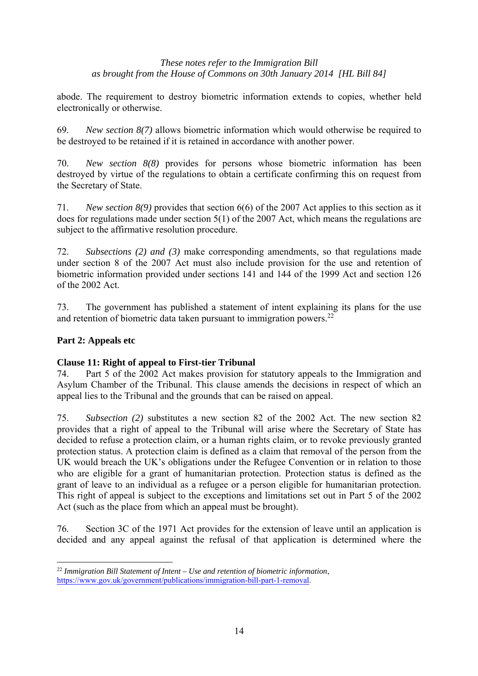abode. The requirement to destroy biometric information extends to copies, whether held electronically or otherwise.

69. *New section 8(7)* allows biometric information which would otherwise be required to be destroyed to be retained if it is retained in accordance with another power.

70. *New section 8(8)* provides for persons whose biometric information has been destroyed by virtue of the regulations to obtain a certificate confirming this on request from the Secretary of State.

71. *New section 8(9)* provides that section 6(6) of the 2007 Act applies to this section as it does for regulations made under section 5(1) of the 2007 Act, which means the regulations are subject to the affirmative resolution procedure.

72. *Subsections (2) and (3)* make corresponding amendments, so that regulations made under section 8 of the 2007 Act must also include provision for the use and retention of biometric information provided under sections 141 and 144 of the 1999 Act and section 126 of the 2002 Act.

73. The government has published a statement of intent explaining its plans for the use and retention of biometric data taken pursuant to immigration powers. $^{22}$ 

# **Part 2: Appeals etc**

# **Clause 11: Right of appeal to First-tier Tribunal**

74. Part 5 of the 2002 Act makes provision for statutory appeals to the Immigration and Asylum Chamber of the Tribunal. This clause amends the decisions in respect of which an appeal lies to the Tribunal and the grounds that can be raised on appeal.

75. *Subsection (2)* substitutes a new section 82 of the 2002 Act. The new section 82 provides that a right of appeal to the Tribunal will arise where the Secretary of State has decided to refuse a protection claim, or a human rights claim, or to revoke previously granted protection status. A protection claim is defined as a claim that removal of the person from the UK would breach the UK's obligations under the Refugee Convention or in relation to those who are eligible for a grant of humanitarian protection. Protection status is defined as the grant of leave to an individual as a refugee or a person eligible for humanitarian protection. This right of appeal is subject to the exceptions and limitations set out in Part 5 of the 2002 Act (such as the place from which an appeal must be brought).

76. Section 3C of the 1971 Act provides for the extension of leave until an application is decided and any appeal against the refusal of that application is determined where the

 $\overline{a}$ <sup>22</sup> *Immigration Bill Statement of Intent – Use and retention of biometric information*, https://www.gov.uk/government/publications/immigration-bill-part-1-removal.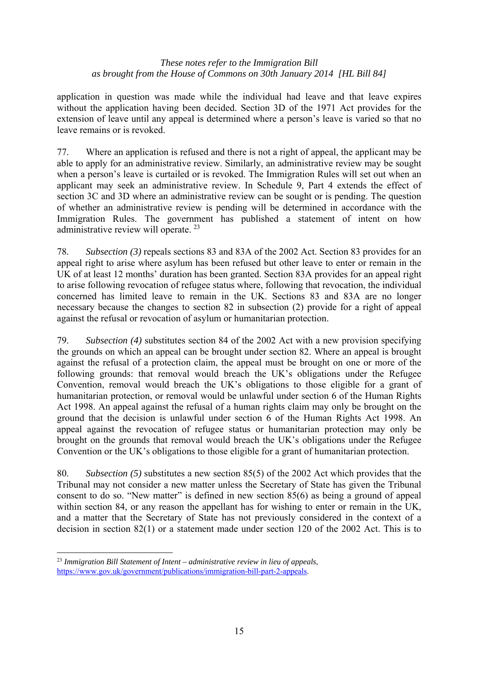application in question was made while the individual had leave and that leave expires without the application having been decided. Section 3D of the 1971 Act provides for the extension of leave until any appeal is determined where a person's leave is varied so that no leave remains or is revoked.

77. Where an application is refused and there is not a right of appeal, the applicant may be able to apply for an administrative review. Similarly, an administrative review may be sought when a person's leave is curtailed or is revoked. The Immigration Rules will set out when an applicant may seek an administrative review. In Schedule 9, Part 4 extends the effect of section 3C and 3D where an administrative review can be sought or is pending. The question of whether an administrative review is pending will be determined in accordance with the Immigration Rules. The government has published a statement of intent on how administrative review will operate. 23

78. *Subsection (3)* repeals sections 83 and 83A of the 2002 Act. Section 83 provides for an appeal right to arise where asylum has been refused but other leave to enter or remain in the UK of at least 12 months' duration has been granted. Section 83A provides for an appeal right to arise following revocation of refugee status where, following that revocation, the individual concerned has limited leave to remain in the UK. Sections 83 and 83A are no longer necessary because the changes to section 82 in subsection (2) provide for a right of appeal against the refusal or revocation of asylum or humanitarian protection.

79. *Subsection (4)* substitutes section 84 of the 2002 Act with a new provision specifying the grounds on which an appeal can be brought under section 82. Where an appeal is brought against the refusal of a protection claim, the appeal must be brought on one or more of the following grounds: that removal would breach the UK's obligations under the Refugee Convention, removal would breach the UK's obligations to those eligible for a grant of humanitarian protection, or removal would be unlawful under section 6 of the Human Rights Act 1998. An appeal against the refusal of a human rights claim may only be brought on the ground that the decision is unlawful under section 6 of the Human Rights Act 1998. An appeal against the revocation of refugee status or humanitarian protection may only be brought on the grounds that removal would breach the UK's obligations under the Refugee Convention or the UK's obligations to those eligible for a grant of humanitarian protection.

80. *Subsection (5)* substitutes a new section 85(5) of the 2002 Act which provides that the Tribunal may not consider a new matter unless the Secretary of State has given the Tribunal consent to do so. "New matter" is defined in new section 85(6) as being a ground of appeal within section 84, or any reason the appellant has for wishing to enter or remain in the UK, and a matter that the Secretary of State has not previously considered in the context of a decision in section 82(1) or a statement made under section 120 of the 2002 Act. This is to

 $\overline{a}$ <sup>23</sup> *Immigration Bill Statement of Intent – administrative review in lieu of appeals*, https://www.gov.uk/government/publications/immigration-bill-part-2-appeals.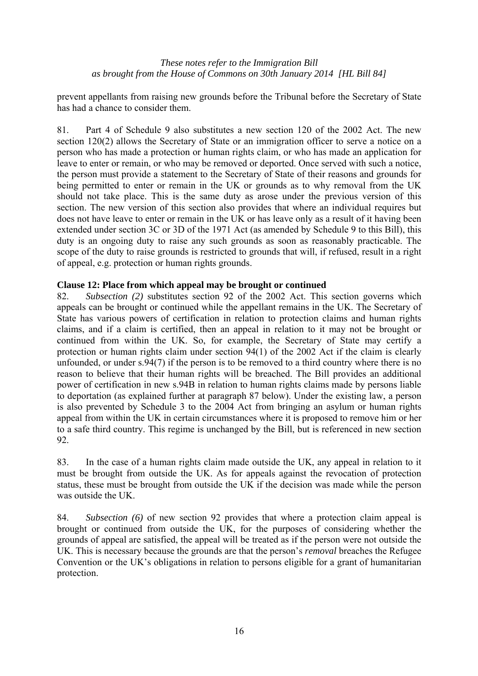prevent appellants from raising new grounds before the Tribunal before the Secretary of State has had a chance to consider them.

81. Part 4 of Schedule 9 also substitutes a new section 120 of the 2002 Act. The new section 120(2) allows the Secretary of State or an immigration officer to serve a notice on a person who has made a protection or human rights claim, or who has made an application for leave to enter or remain, or who may be removed or deported. Once served with such a notice, the person must provide a statement to the Secretary of State of their reasons and grounds for being permitted to enter or remain in the UK or grounds as to why removal from the UK should not take place. This is the same duty as arose under the previous version of this section. The new version of this section also provides that where an individual requires but does not have leave to enter or remain in the UK or has leave only as a result of it having been extended under section 3C or 3D of the 1971 Act (as amended by Schedule 9 to this Bill), this duty is an ongoing duty to raise any such grounds as soon as reasonably practicable. The scope of the duty to raise grounds is restricted to grounds that will, if refused, result in a right of appeal, e.g. protection or human rights grounds.

### **Clause 12: Place from which appeal may be brought or continued**

82. *Subsection (2)* substitutes section 92 of the 2002 Act. This section governs which appeals can be brought or continued while the appellant remains in the UK. The Secretary of State has various powers of certification in relation to protection claims and human rights claims, and if a claim is certified, then an appeal in relation to it may not be brought or continued from within the UK. So, for example, the Secretary of State may certify a protection or human rights claim under section 94(1) of the 2002 Act if the claim is clearly unfounded, or under s.94(7) if the person is to be removed to a third country where there is no reason to believe that their human rights will be breached. The Bill provides an additional power of certification in new s.94B in relation to human rights claims made by persons liable to deportation (as explained further at paragraph 87 below). Under the existing law, a person is also prevented by Schedule 3 to the 2004 Act from bringing an asylum or human rights appeal from within the UK in certain circumstances where it is proposed to remove him or her to a safe third country. This regime is unchanged by the Bill, but is referenced in new section 92.

83. In the case of a human rights claim made outside the UK, any appeal in relation to it must be brought from outside the UK. As for appeals against the revocation of protection status, these must be brought from outside the UK if the decision was made while the person was outside the UK.

84. *Subsection (6)* of new section 92 provides that where a protection claim appeal is brought or continued from outside the UK, for the purposes of considering whether the grounds of appeal are satisfied, the appeal will be treated as if the person were not outside the UK. This is necessary because the grounds are that the person's *removal* breaches the Refugee Convention or the UK's obligations in relation to persons eligible for a grant of humanitarian protection.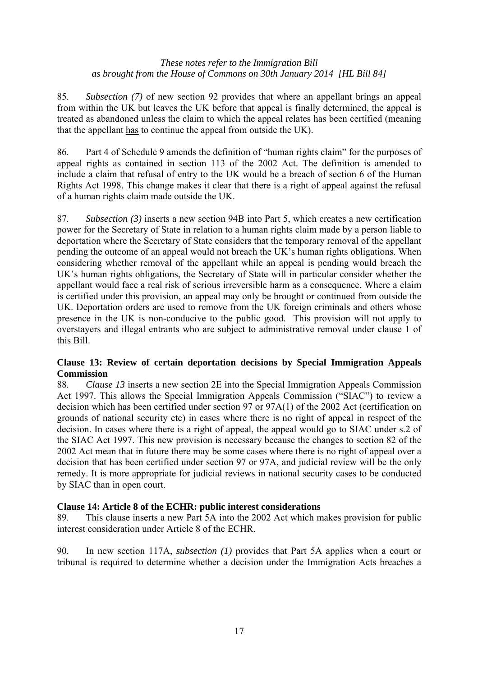85. *Subsection (7)* of new section 92 provides that where an appellant brings an appeal from within the UK but leaves the UK before that appeal is finally determined, the appeal is treated as abandoned unless the claim to which the appeal relates has been certified (meaning that the appellant has to continue the appeal from outside the UK).

86. Part 4 of Schedule 9 amends the definition of "human rights claim" for the purposes of appeal rights as contained in section 113 of the 2002 Act. The definition is amended to include a claim that refusal of entry to the UK would be a breach of section 6 of the Human Rights Act 1998. This change makes it clear that there is a right of appeal against the refusal of a human rights claim made outside the UK.

87. *Subsection (3)* inserts a new section 94B into Part 5, which creates a new certification power for the Secretary of State in relation to a human rights claim made by a person liable to deportation where the Secretary of State considers that the temporary removal of the appellant pending the outcome of an appeal would not breach the UK's human rights obligations. When considering whether removal of the appellant while an appeal is pending would breach the UK's human rights obligations, the Secretary of State will in particular consider whether the appellant would face a real risk of serious irreversible harm as a consequence. Where a claim is certified under this provision, an appeal may only be brought or continued from outside the UK. Deportation orders are used to remove from the UK foreign criminals and others whose presence in the UK is non-conducive to the public good. This provision will not apply to overstayers and illegal entrants who are subject to administrative removal under clause 1 of this Bill.

# **Clause 13: Review of certain deportation decisions by Special Immigration Appeals Commission**

88. *Clause 13* inserts a new section 2E into the Special Immigration Appeals Commission Act 1997. This allows the Special Immigration Appeals Commission ("SIAC") to review a decision which has been certified under section 97 or 97A(1) of the 2002 Act (certification on grounds of national security etc) in cases where there is no right of appeal in respect of the decision. In cases where there is a right of appeal, the appeal would go to SIAC under s.2 of the SIAC Act 1997. This new provision is necessary because the changes to section 82 of the 2002 Act mean that in future there may be some cases where there is no right of appeal over a decision that has been certified under section 97 or 97A, and judicial review will be the only remedy. It is more appropriate for judicial reviews in national security cases to be conducted by SIAC than in open court.

# **Clause 14: Article 8 of the ECHR: public interest considerations**

89. This clause inserts a new Part 5A into the 2002 Act which makes provision for public interest consideration under Article 8 of the ECHR.

90. In new section 117A, *subsection (1)* provides that Part 5A applies when a court or tribunal is required to determine whether a decision under the Immigration Acts breaches a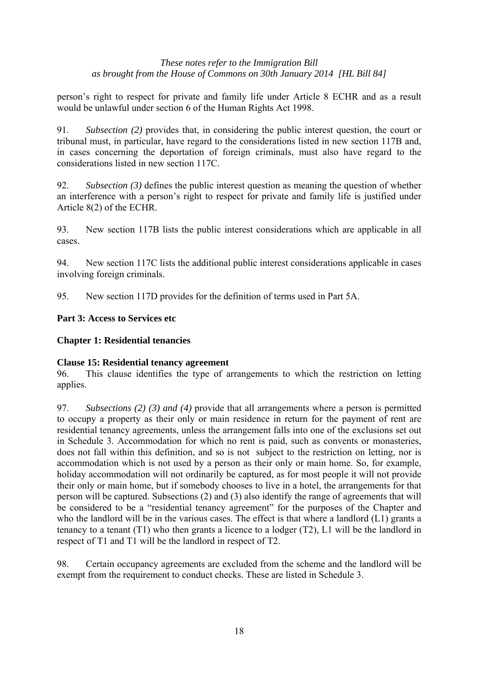person's right to respect for private and family life under Article 8 ECHR and as a result would be unlawful under section 6 of the Human Rights Act 1998.

91. *Subsection (2)* provides that, in considering the public interest question, the court or tribunal must, in particular, have regard to the considerations listed in new section 117B and, in cases concerning the deportation of foreign criminals, must also have regard to the considerations listed in new section 117C.

92. *Subsection (3)* defines the public interest question as meaning the question of whether an interference with a person's right to respect for private and family life is justified under Article 8(2) of the ECHR.

93. New section 117B lists the public interest considerations which are applicable in all cases.

94. New section 117C lists the additional public interest considerations applicable in cases involving foreign criminals.

95. New section 117D provides for the definition of terms used in Part 5A.

# **Part 3: Access to Services etc**

# **Chapter 1: Residential tenancies**

#### **Clause 15: Residential tenancy agreement**

96. This clause identifies the type of arrangements to which the restriction on letting applies.

97. *Subsections (2) (3) and (4)* provide that all arrangements where a person is permitted to occupy a property as their only or main residence in return for the payment of rent are residential tenancy agreements, unless the arrangement falls into one of the exclusions set out in Schedule 3. Accommodation for which no rent is paid, such as convents or monasteries, does not fall within this definition, and so is not subject to the restriction on letting, nor is accommodation which is not used by a person as their only or main home. So, for example, holiday accommodation will not ordinarily be captured, as for most people it will not provide their only or main home, but if somebody chooses to live in a hotel, the arrangements for that person will be captured. Subsections (2) and (3) also identify the range of agreements that will be considered to be a "residential tenancy agreement" for the purposes of the Chapter and who the landlord will be in the various cases. The effect is that where a landlord (L1) grants a tenancy to a tenant (T1) who then grants a licence to a lodger (T2), L1 will be the landlord in respect of T1 and T1 will be the landlord in respect of T2.

98. Certain occupancy agreements are excluded from the scheme and the landlord will be exempt from the requirement to conduct checks. These are listed in Schedule 3.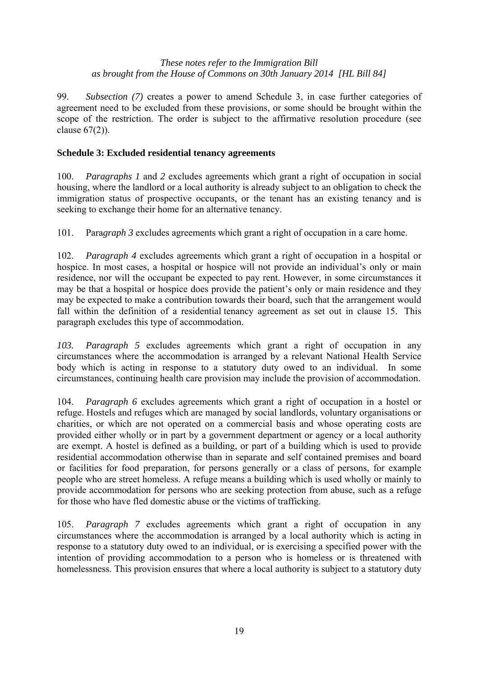99. *Subsection (7)* creates a power to amend Schedule 3, in case further categories of agreement need to be excluded from these provisions, or some should be brought within the scope of the restriction. The order is subject to the affirmative resolution procedure (see clause 67(2)).

# **Schedule 3: Excluded residential tenancy agreements**

100. *Paragraphs 1* and *2* excludes agreements which grant a right of occupation in social housing, where the landlord or a local authority is already subject to an obligation to check the immigration status of prospective occupants, or the tenant has an existing tenancy and is seeking to exchange their home for an alternative tenancy.

101. Para*graph 3* excludes agreements which grant a right of occupation in a care home.

102. *Paragraph 4* excludes agreements which grant a right of occupation in a hospital or hospice. In most cases, a hospital or hospice will not provide an individual's only or main residence, nor will the occupant be expected to pay rent. However, in some circumstances it may be that a hospital or hospice does provide the patient's only or main residence and they may be expected to make a contribution towards their board, such that the arrangement would fall within the definition of a residential tenancy agreement as set out in clause 15. This paragraph excludes this type of accommodation.

*103. Paragraph 5* excludes agreements which grant a right of occupation in any circumstances where the accommodation is arranged by a relevant National Health Service body which is acting in response to a statutory duty owed to an individual. In some circumstances, continuing health care provision may include the provision of accommodation.

104. *Paragraph 6* excludes agreements which grant a right of occupation in a hostel or refuge. Hostels and refuges which are managed by social landlords, voluntary organisations or charities, or which are not operated on a commercial basis and whose operating costs are provided either wholly or in part by a government department or agency or a local authority are exempt. A hostel is defined as a building, or part of a building which is used to provide residential accommodation otherwise than in separate and self contained premises and board or facilities for food preparation, for persons generally or a class of persons, for example people who are street homeless. A refuge means a building which is used wholly or mainly to provide accommodation for persons who are seeking protection from abuse, such as a refuge for those who have fled domestic abuse or the victims of trafficking.

105. *Paragraph 7* excludes agreements which grant a right of occupation in any circumstances where the accommodation is arranged by a local authority which is acting in response to a statutory duty owed to an individual, or is exercising a specified power with the intention of providing accommodation to a person who is homeless or is threatened with homelessness. This provision ensures that where a local authority is subject to a statutory duty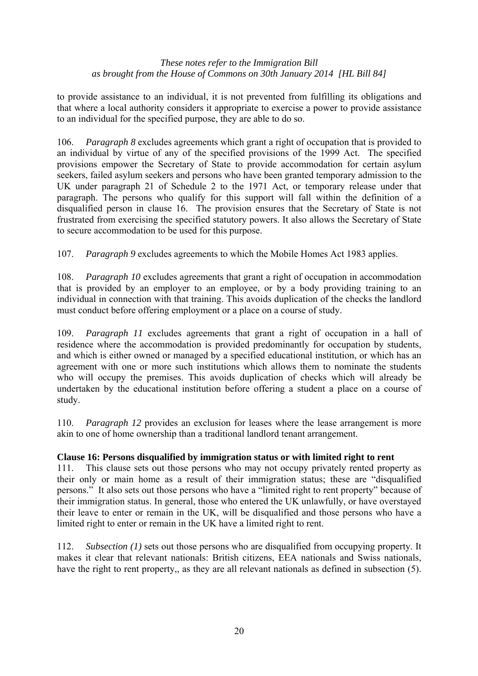to provide assistance to an individual, it is not prevented from fulfilling its obligations and that where a local authority considers it appropriate to exercise a power to provide assistance to an individual for the specified purpose, they are able to do so.

106. *Paragraph 8* excludes agreements which grant a right of occupation that is provided to an individual by virtue of any of the specified provisions of the 1999 Act. The specified provisions empower the Secretary of State to provide accommodation for certain asylum seekers, failed asylum seekers and persons who have been granted temporary admission to the UK under paragraph 21 of Schedule 2 to the 1971 Act, or temporary release under that paragraph. The persons who qualify for this support will fall within the definition of a disqualified person in clause 16. The provision ensures that the Secretary of State is not frustrated from exercising the specified statutory powers. It also allows the Secretary of State to secure accommodation to be used for this purpose.

107. *Paragraph 9* excludes agreements to which the Mobile Homes Act 1983 applies.

108. *Paragraph 10* excludes agreements that grant a right of occupation in accommodation that is provided by an employer to an employee, or by a body providing training to an individual in connection with that training. This avoids duplication of the checks the landlord must conduct before offering employment or a place on a course of study.

109. *Paragraph 11* excludes agreements that grant a right of occupation in a hall of residence where the accommodation is provided predominantly for occupation by students, and which is either owned or managed by a specified educational institution, or which has an agreement with one or more such institutions which allows them to nominate the students who will occupy the premises. This avoids duplication of checks which will already be undertaken by the educational institution before offering a student a place on a course of study.

110. *Paragraph 12* provides an exclusion for leases where the lease arrangement is more akin to one of home ownership than a traditional landlord tenant arrangement.

# **Clause 16: Persons disqualified by immigration status or with limited right to rent**

111. This clause sets out those persons who may not occupy privately rented property as their only or main home as a result of their immigration status; these are "disqualified persons." It also sets out those persons who have a "limited right to rent property" because of their immigration status. In general, those who entered the UK unlawfully, or have overstayed their leave to enter or remain in the UK, will be disqualified and those persons who have a limited right to enter or remain in the UK have a limited right to rent.

112. *Subsection (1)* sets out those persons who are disqualified from occupying property. It makes it clear that relevant nationals: British citizens, EEA nationals and Swiss nationals, have the right to rent property,, as they are all relevant nationals as defined in subsection (5).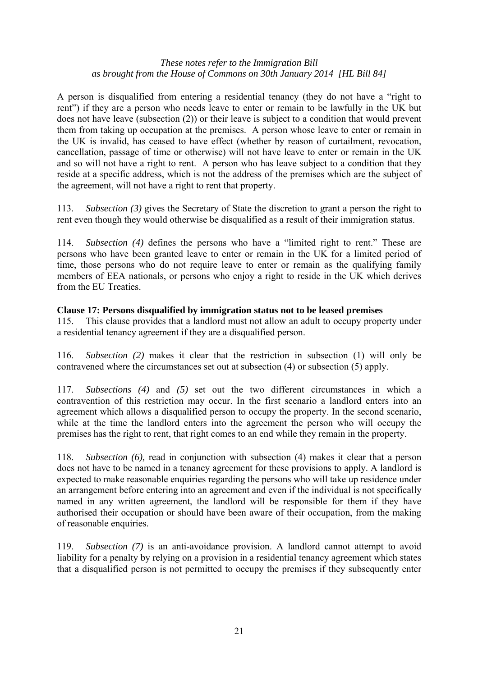A person is disqualified from entering a residential tenancy (they do not have a "right to rent") if they are a person who needs leave to enter or remain to be lawfully in the UK but does not have leave (subsection (2)) or their leave is subject to a condition that would prevent them from taking up occupation at the premises. A person whose leave to enter or remain in the UK is invalid, has ceased to have effect (whether by reason of curtailment, revocation, cancellation, passage of time or otherwise) will not have leave to enter or remain in the UK and so will not have a right to rent. A person who has leave subject to a condition that they reside at a specific address, which is not the address of the premises which are the subject of the agreement, will not have a right to rent that property.

113. *Subsection (3)* gives the Secretary of State the discretion to grant a person the right to rent even though they would otherwise be disqualified as a result of their immigration status.

114. *Subsection (4)* defines the persons who have a "limited right to rent." These are persons who have been granted leave to enter or remain in the UK for a limited period of time, those persons who do not require leave to enter or remain as the qualifying family members of EEA nationals, or persons who enjoy a right to reside in the UK which derives from the EU Treaties.

### **Clause 17: Persons disqualified by immigration status not to be leased premises**

115. This clause provides that a landlord must not allow an adult to occupy property under a residential tenancy agreement if they are a disqualified person.

116. *Subsection (2)* makes it clear that the restriction in subsection (1) will only be contravened where the circumstances set out at subsection (4) or subsection (5) apply.

117. *Subsections (4)* and *(5)* set out the two different circumstances in which a contravention of this restriction may occur. In the first scenario a landlord enters into an agreement which allows a disqualified person to occupy the property. In the second scenario, while at the time the landlord enters into the agreement the person who will occupy the premises has the right to rent, that right comes to an end while they remain in the property.

118. *Subsection (6),* read in conjunction with subsection (4) makes it clear that a person does not have to be named in a tenancy agreement for these provisions to apply. A landlord is expected to make reasonable enquiries regarding the persons who will take up residence under an arrangement before entering into an agreement and even if the individual is not specifically named in any written agreement, the landlord will be responsible for them if they have authorised their occupation or should have been aware of their occupation, from the making of reasonable enquiries.

119. *Subsection (7)* is an anti-avoidance provision. A landlord cannot attempt to avoid liability for a penalty by relying on a provision in a residential tenancy agreement which states that a disqualified person is not permitted to occupy the premises if they subsequently enter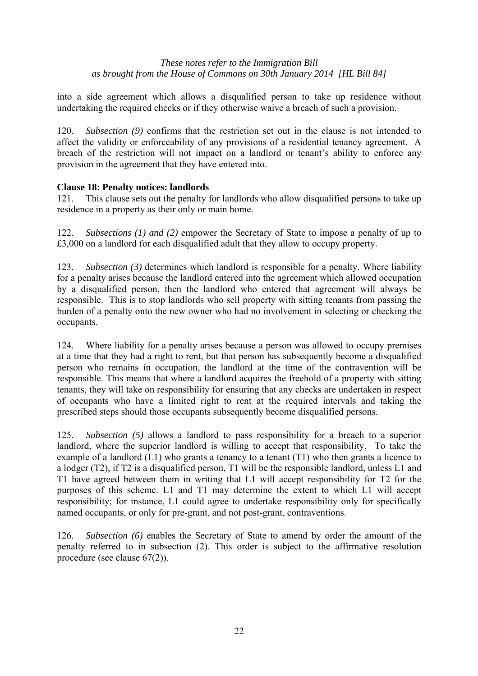into a side agreement which allows a disqualified person to take up residence without undertaking the required checks or if they otherwise waive a breach of such a provision.

120. *Subsection (9)* confirms that the restriction set out in the clause is not intended to affect the validity or enforceability of any provisions of a residential tenancy agreement. A breach of the restriction will not impact on a landlord or tenant's ability to enforce any provision in the agreement that they have entered into.

# **Clause 18: Penalty notices: landlords**

121. This clause sets out the penalty for landlords who allow disqualified persons to take up residence in a property as their only or main home.

122. *Subsections (1) and (2)* empower the Secretary of State to impose a penalty of up to £3,000 on a landlord for each disqualified adult that they allow to occupy property.

123. *Subsection (3)* determines which landlord is responsible for a penalty. Where liability for a penalty arises because the landlord entered into the agreement which allowed occupation by a disqualified person, then the landlord who entered that agreement will always be responsible. This is to stop landlords who sell property with sitting tenants from passing the burden of a penalty onto the new owner who had no involvement in selecting or checking the occupants.

124. Where liability for a penalty arises because a person was allowed to occupy premises at a time that they had a right to rent, but that person has subsequently become a disqualified person who remains in occupation, the landlord at the time of the contravention will be responsible. This means that where a landlord acquires the freehold of a property with sitting tenants, they will take on responsibility for ensuring that any checks are undertaken in respect of occupants who have a limited right to rent at the required intervals and taking the prescribed steps should those occupants subsequently become disqualified persons.

125. *Subsection (5)* allows a landlord to pass responsibility for a breach to a superior landlord, where the superior landlord is willing to accept that responsibility. To take the example of a landlord (L1) who grants a tenancy to a tenant (T1) who then grants a licence to a lodger (T2), if T2 is a disqualified person, T1 will be the responsible landlord, unless L1 and T1 have agreed between them in writing that L1 will accept responsibility for T2 for the purposes of this scheme. L1 and T1 may determine the extent to which L1 will accept responsibility; for instance, L1 could agree to undertake responsibility only for specifically named occupants, or only for pre-grant, and not post-grant, contraventions.

126. *Subsection (6)* enables the Secretary of State to amend by order the amount of the penalty referred to in subsection (2). This order is subject to the affirmative resolution procedure (see clause 67(2)).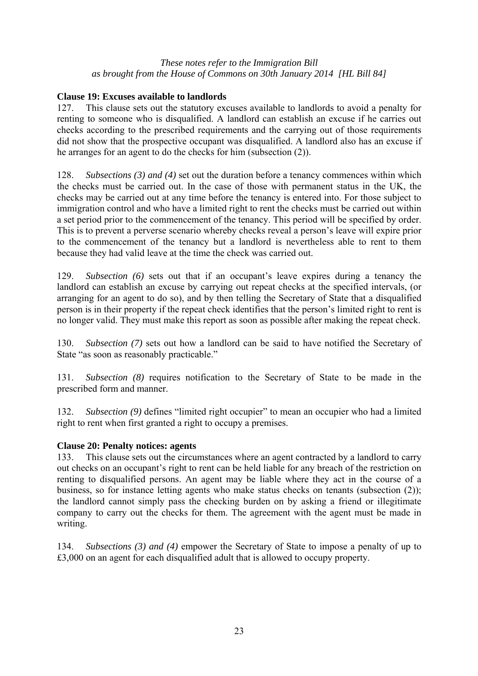# **Clause 19: Excuses available to landlords**

127. This clause sets out the statutory excuses available to landlords to avoid a penalty for renting to someone who is disqualified. A landlord can establish an excuse if he carries out checks according to the prescribed requirements and the carrying out of those requirements did not show that the prospective occupant was disqualified. A landlord also has an excuse if he arranges for an agent to do the checks for him (subsection (2)).

128. *Subsections (3) and (4)* set out the duration before a tenancy commences within which the checks must be carried out. In the case of those with permanent status in the UK, the checks may be carried out at any time before the tenancy is entered into. For those subject to immigration control and who have a limited right to rent the checks must be carried out within a set period prior to the commencement of the tenancy. This period will be specified by order. This is to prevent a perverse scenario whereby checks reveal a person's leave will expire prior to the commencement of the tenancy but a landlord is nevertheless able to rent to them because they had valid leave at the time the check was carried out.

129. *Subsection (6)* sets out that if an occupant's leave expires during a tenancy the landlord can establish an excuse by carrying out repeat checks at the specified intervals, (or arranging for an agent to do so), and by then telling the Secretary of State that a disqualified person is in their property if the repeat check identifies that the person's limited right to rent is no longer valid. They must make this report as soon as possible after making the repeat check.

130. *Subsection (7)* sets out how a landlord can be said to have notified the Secretary of State "as soon as reasonably practicable."

131. *Subsection (8)* requires notification to the Secretary of State to be made in the prescribed form and manner.

132. *Subsection (9)* defines "limited right occupier" to mean an occupier who had a limited right to rent when first granted a right to occupy a premises.

# **Clause 20: Penalty notices: agents**

133. This clause sets out the circumstances where an agent contracted by a landlord to carry out checks on an occupant's right to rent can be held liable for any breach of the restriction on renting to disqualified persons. An agent may be liable where they act in the course of a business, so for instance letting agents who make status checks on tenants (subsection (2)); the landlord cannot simply pass the checking burden on by asking a friend or illegitimate company to carry out the checks for them. The agreement with the agent must be made in writing.

134. *Subsections (3) and (4)* empower the Secretary of State to impose a penalty of up to £3,000 on an agent for each disqualified adult that is allowed to occupy property.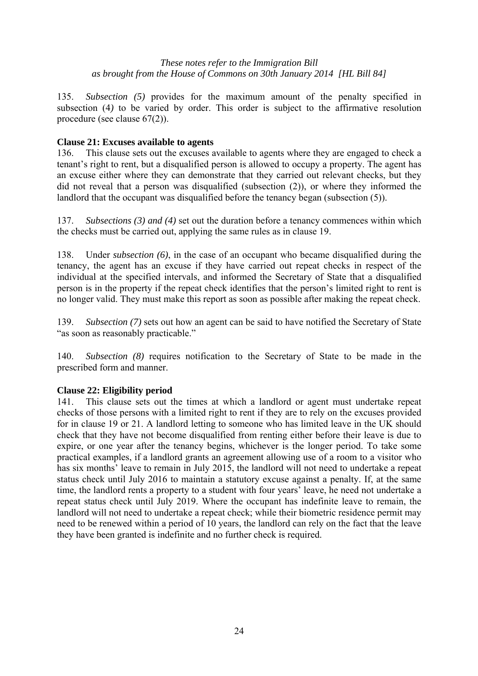135. *Subsection (5)* provides for the maximum amount of the penalty specified in subsection (4*)* to be varied by order. This order is subject to the affirmative resolution procedure (see clause 67(2)).

# **Clause 21: Excuses available to agents**

136. This clause sets out the excuses available to agents where they are engaged to check a tenant's right to rent, but a disqualified person is allowed to occupy a property. The agent has an excuse either where they can demonstrate that they carried out relevant checks, but they did not reveal that a person was disqualified (subsection (2)), or where they informed the landlord that the occupant was disqualified before the tenancy began (subsection  $(5)$ ).

137. *Subsections (3) and (4)* set out the duration before a tenancy commences within which the checks must be carried out, applying the same rules as in clause 19.

138. Under *subsection (6)*, in the case of an occupant who became disqualified during the tenancy, the agent has an excuse if they have carried out repeat checks in respect of the individual at the specified intervals, and informed the Secretary of State that a disqualified person is in the property if the repeat check identifies that the person's limited right to rent is no longer valid. They must make this report as soon as possible after making the repeat check.

139. *Subsection (7)* sets out how an agent can be said to have notified the Secretary of State "as soon as reasonably practicable."

140. *Subsection (8)* requires notification to the Secretary of State to be made in the prescribed form and manner.

#### **Clause 22: Eligibility period**

141. This clause sets out the times at which a landlord or agent must undertake repeat checks of those persons with a limited right to rent if they are to rely on the excuses provided for in clause 19 or 21. A landlord letting to someone who has limited leave in the UK should check that they have not become disqualified from renting either before their leave is due to expire, or one year after the tenancy begins, whichever is the longer period. To take some practical examples, if a landlord grants an agreement allowing use of a room to a visitor who has six months' leave to remain in July 2015, the landlord will not need to undertake a repeat status check until July 2016 to maintain a statutory excuse against a penalty. If, at the same time, the landlord rents a property to a student with four years' leave, he need not undertake a repeat status check until July 2019. Where the occupant has indefinite leave to remain, the landlord will not need to undertake a repeat check; while their biometric residence permit may need to be renewed within a period of 10 years, the landlord can rely on the fact that the leave they have been granted is indefinite and no further check is required.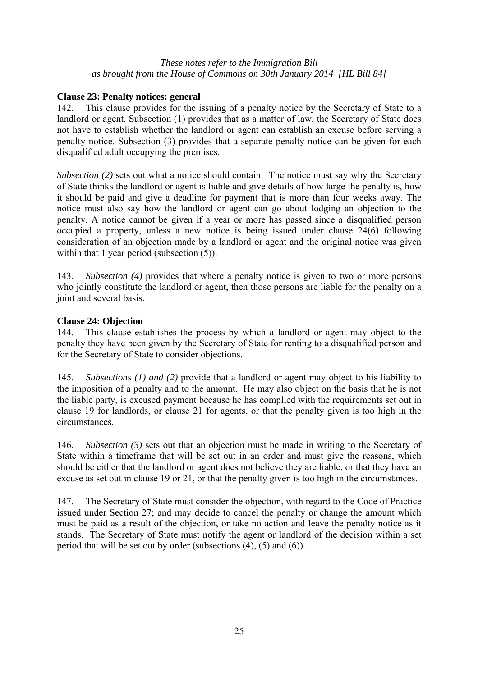# **Clause 23: Penalty notices: general**

142. This clause provides for the issuing of a penalty notice by the Secretary of State to a landlord or agent. Subsection (1) provides that as a matter of law, the Secretary of State does not have to establish whether the landlord or agent can establish an excuse before serving a penalty notice. Subsection (3) provides that a separate penalty notice can be given for each disqualified adult occupying the premises.

*Subsection (2)* sets out what a notice should contain. The notice must say why the Secretary of State thinks the landlord or agent is liable and give details of how large the penalty is, how it should be paid and give a deadline for payment that is more than four weeks away. The notice must also say how the landlord or agent can go about lodging an objection to the penalty. A notice cannot be given if a year or more has passed since a disqualified person occupied a property, unless a new notice is being issued under clause 24(6) following consideration of an objection made by a landlord or agent and the original notice was given within that 1 year period (subsection  $(5)$ ).

143. *Subsection (4)* provides that where a penalty notice is given to two or more persons who jointly constitute the landlord or agent, then those persons are liable for the penalty on a joint and several basis.

# **Clause 24: Objection**

144. This clause establishes the process by which a landlord or agent may object to the penalty they have been given by the Secretary of State for renting to a disqualified person and for the Secretary of State to consider objections.

145. *Subsections (1) and (2)* provide that a landlord or agent may object to his liability to the imposition of a penalty and to the amount. He may also object on the basis that he is not the liable party, is excused payment because he has complied with the requirements set out in clause 19 for landlords, or clause 21 for agents, or that the penalty given is too high in the circumstances.

146. *Subsection (3)* sets out that an objection must be made in writing to the Secretary of State within a timeframe that will be set out in an order and must give the reasons, which should be either that the landlord or agent does not believe they are liable, or that they have an excuse as set out in clause 19 or 21, or that the penalty given is too high in the circumstances.

147. The Secretary of State must consider the objection, with regard to the Code of Practice issued under Section 27; and may decide to cancel the penalty or change the amount which must be paid as a result of the objection, or take no action and leave the penalty notice as it stands. The Secretary of State must notify the agent or landlord of the decision within a set period that will be set out by order (subsections (4), (5) and (6)).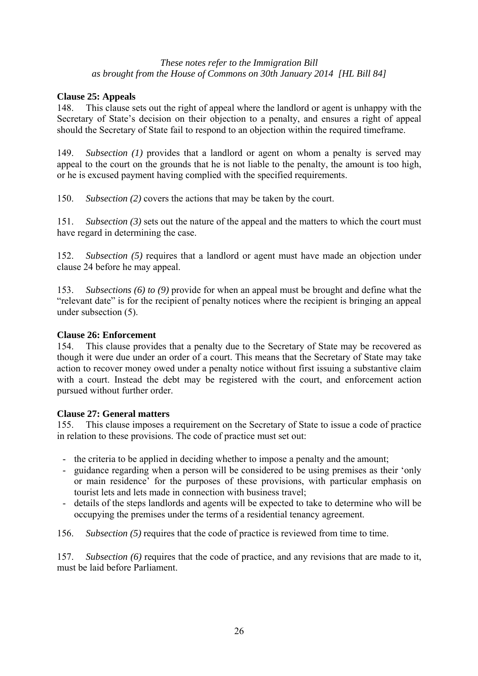# **Clause 25: Appeals**

148. This clause sets out the right of appeal where the landlord or agent is unhappy with the Secretary of State's decision on their objection to a penalty, and ensures a right of appeal should the Secretary of State fail to respond to an objection within the required timeframe.

149. *Subsection (1)* provides that a landlord or agent on whom a penalty is served may appeal to the court on the grounds that he is not liable to the penalty, the amount is too high, or he is excused payment having complied with the specified requirements.

150. *Subsection (2)* covers the actions that may be taken by the court.

151. *Subsection (3)* sets out the nature of the appeal and the matters to which the court must have regard in determining the case.

152. *Subsection (5)* requires that a landlord or agent must have made an objection under clause 24 before he may appeal.

153. *Subsections (6) to (9)* provide for when an appeal must be brought and define what the "relevant date" is for the recipient of penalty notices where the recipient is bringing an appeal under subsection (5).

# **Clause 26: Enforcement**

154. This clause provides that a penalty due to the Secretary of State may be recovered as though it were due under an order of a court. This means that the Secretary of State may take action to recover money owed under a penalty notice without first issuing a substantive claim with a court. Instead the debt may be registered with the court, and enforcement action pursued without further order.

#### **Clause 27: General matters**

155. This clause imposes a requirement on the Secretary of State to issue a code of practice in relation to these provisions. The code of practice must set out:

- the criteria to be applied in deciding whether to impose a penalty and the amount;
- guidance regarding when a person will be considered to be using premises as their 'only or main residence' for the purposes of these provisions, with particular emphasis on tourist lets and lets made in connection with business travel;
- details of the steps landlords and agents will be expected to take to determine who will be occupying the premises under the terms of a residential tenancy agreement.

156. *Subsection (5)* requires that the code of practice is reviewed from time to time.

157. *Subsection (6)* requires that the code of practice, and any revisions that are made to it, must be laid before Parliament.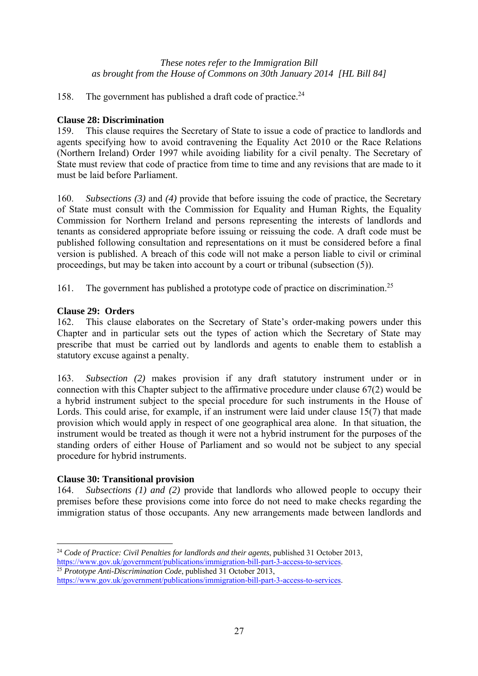158. The government has published a draft code of practice.<sup>24</sup>

### **Clause 28: Discrimination**

159. This clause requires the Secretary of State to issue a code of practice to landlords and agents specifying how to avoid contravening the Equality Act 2010 or the Race Relations (Northern Ireland) Order 1997 while avoiding liability for a civil penalty. The Secretary of State must review that code of practice from time to time and any revisions that are made to it must be laid before Parliament.

160. *Subsections (3)* and *(4)* provide that before issuing the code of practice, the Secretary of State must consult with the Commission for Equality and Human Rights, the Equality Commission for Northern Ireland and persons representing the interests of landlords and tenants as considered appropriate before issuing or reissuing the code. A draft code must be published following consultation and representations on it must be considered before a final version is published. A breach of this code will not make a person liable to civil or criminal proceedings, but may be taken into account by a court or tribunal (subsection (5)).

161. The government has published a prototype code of practice on discrimination.<sup>25</sup>

### **Clause 29: Orders**

162. This clause elaborates on the Secretary of State's order-making powers under this Chapter and in particular sets out the types of action which the Secretary of State may prescribe that must be carried out by landlords and agents to enable them to establish a statutory excuse against a penalty.

163. *Subsection (2)* makes provision if any draft statutory instrument under or in connection with this Chapter subject to the affirmative procedure under clause 67(2) would be a hybrid instrument subject to the special procedure for such instruments in the House of Lords. This could arise, for example, if an instrument were laid under clause 15(7) that made provision which would apply in respect of one geographical area alone. In that situation, the instrument would be treated as though it were not a hybrid instrument for the purposes of the standing orders of either House of Parliament and so would not be subject to any special procedure for hybrid instruments.

# **Clause 30: Transitional provision**

 $\overline{a}$ 

164. *Subsections (1) and (2)* provide that landlords who allowed people to occupy their premises before these provisions come into force do not need to make checks regarding the immigration status of those occupants. Any new arrangements made between landlords and

<sup>24</sup> *Code of Practice: Civil Penalties for landlords and their agents*, published 31 October 2013,

https://www.gov.uk/government/publications/immigration-bill-part-3-access-to-services. 25 *Prototype Anti-Discrimination Code*, published 31 October 2013,

https://www.gov.uk/government/publications/immigration-bill-part-3-access-to-services.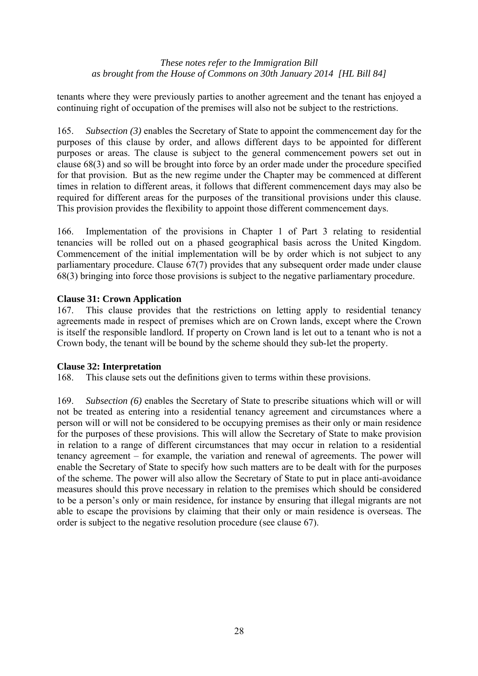tenants where they were previously parties to another agreement and the tenant has enjoyed a continuing right of occupation of the premises will also not be subject to the restrictions.

165. *Subsection (3)* enables the Secretary of State to appoint the commencement day for the purposes of this clause by order, and allows different days to be appointed for different purposes or areas. The clause is subject to the general commencement powers set out in clause 68(3) and so will be brought into force by an order made under the procedure specified for that provision. But as the new regime under the Chapter may be commenced at different times in relation to different areas, it follows that different commencement days may also be required for different areas for the purposes of the transitional provisions under this clause. This provision provides the flexibility to appoint those different commencement days.

166. Implementation of the provisions in Chapter 1 of Part 3 relating to residential tenancies will be rolled out on a phased geographical basis across the United Kingdom. Commencement of the initial implementation will be by order which is not subject to any parliamentary procedure. Clause 67(7) provides that any subsequent order made under clause 68(3) bringing into force those provisions is subject to the negative parliamentary procedure.

### **Clause 31: Crown Application**

167. This clause provides that the restrictions on letting apply to residential tenancy agreements made in respect of premises which are on Crown lands, except where the Crown is itself the responsible landlord*.* If property on Crown land is let out to a tenant who is not a Crown body, the tenant will be bound by the scheme should they sub-let the property.

# **Clause 32: Interpretation**

168. This clause sets out the definitions given to terms within these provisions.

169. *Subsection (6)* enables the Secretary of State to prescribe situations which will or will not be treated as entering into a residential tenancy agreement and circumstances where a person will or will not be considered to be occupying premises as their only or main residence for the purposes of these provisions. This will allow the Secretary of State to make provision in relation to a range of different circumstances that may occur in relation to a residential tenancy agreement – for example, the variation and renewal of agreements. The power will enable the Secretary of State to specify how such matters are to be dealt with for the purposes of the scheme. The power will also allow the Secretary of State to put in place anti-avoidance measures should this prove necessary in relation to the premises which should be considered to be a person's only or main residence, for instance by ensuring that illegal migrants are not able to escape the provisions by claiming that their only or main residence is overseas. The order is subject to the negative resolution procedure (see clause 67).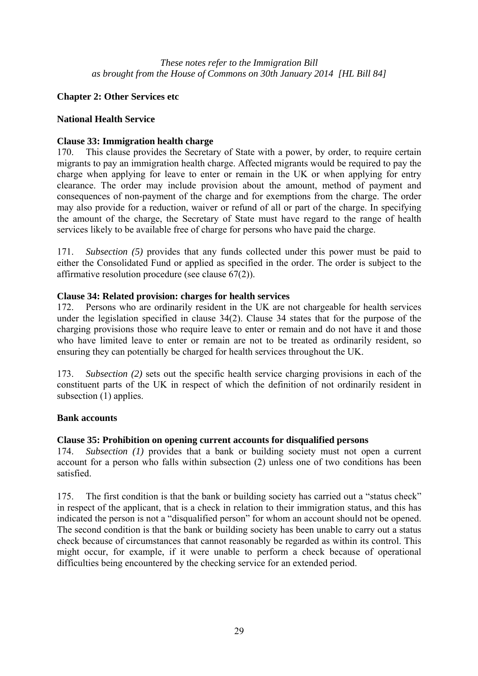# **Chapter 2: Other Services etc**

### **National Health Service**

### **Clause 33: Immigration health charge**

170. This clause provides the Secretary of State with a power, by order, to require certain migrants to pay an immigration health charge. Affected migrants would be required to pay the charge when applying for leave to enter or remain in the UK or when applying for entry clearance. The order may include provision about the amount, method of payment and consequences of non-payment of the charge and for exemptions from the charge. The order may also provide for a reduction, waiver or refund of all or part of the charge. In specifying the amount of the charge, the Secretary of State must have regard to the range of health services likely to be available free of charge for persons who have paid the charge.

171. *Subsection (5)* provides that any funds collected under this power must be paid to either the Consolidated Fund or applied as specified in the order. The order is subject to the affirmative resolution procedure (see clause 67(2)).

### **Clause 34: Related provision: charges for health services**

172. Persons who are ordinarily resident in the UK are not chargeable for health services under the legislation specified in clause 34(2). Clause 34 states that for the purpose of the charging provisions those who require leave to enter or remain and do not have it and those who have limited leave to enter or remain are not to be treated as ordinarily resident, so ensuring they can potentially be charged for health services throughout the UK.

173. *Subsection (2)* sets out the specific health service charging provisions in each of the constituent parts of the UK in respect of which the definition of not ordinarily resident in subsection (1) applies.

#### **Bank accounts**

# **Clause 35: Prohibition on opening current accounts for disqualified persons**

174. *Subsection (1)* provides that a bank or building society must not open a current account for a person who falls within subsection (2) unless one of two conditions has been satisfied.

175. The first condition is that the bank or building society has carried out a "status check" in respect of the applicant, that is a check in relation to their immigration status, and this has indicated the person is not a "disqualified person" for whom an account should not be opened. The second condition is that the bank or building society has been unable to carry out a status check because of circumstances that cannot reasonably be regarded as within its control. This might occur, for example, if it were unable to perform a check because of operational difficulties being encountered by the checking service for an extended period.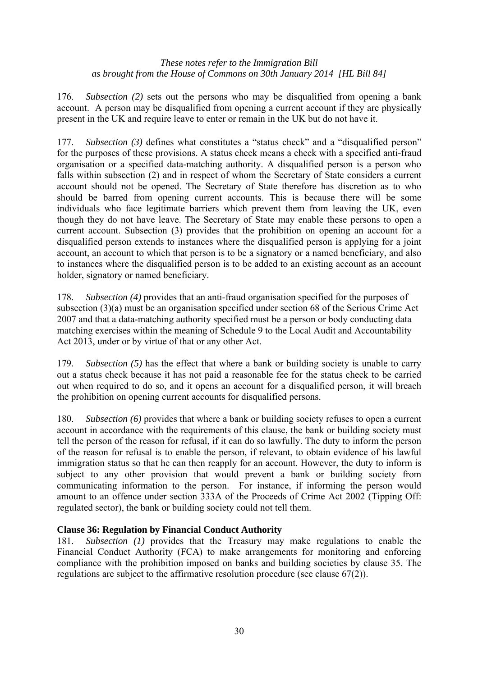176. *Subsection (2)* sets out the persons who may be disqualified from opening a bank account. A person may be disqualified from opening a current account if they are physically present in the UK and require leave to enter or remain in the UK but do not have it.

177. *Subsection (3)* defines what constitutes a "status check" and a "disqualified person" for the purposes of these provisions. A status check means a check with a specified anti-fraud organisation or a specified data-matching authority. A disqualified person is a person who falls within subsection (2) and in respect of whom the Secretary of State considers a current account should not be opened. The Secretary of State therefore has discretion as to who should be barred from opening current accounts. This is because there will be some individuals who face legitimate barriers which prevent them from leaving the UK, even though they do not have leave. The Secretary of State may enable these persons to open a current account. Subsection (3) provides that the prohibition on opening an account for a disqualified person extends to instances where the disqualified person is applying for a joint account, an account to which that person is to be a signatory or a named beneficiary, and also to instances where the disqualified person is to be added to an existing account as an account holder, signatory or named beneficiary.

178. *Subsection (4)* provides that an anti-fraud organisation specified for the purposes of subsection (3)(a) must be an organisation specified under section 68 of the Serious Crime Act 2007 and that a data-matching authority specified must be a person or body conducting data matching exercises within the meaning of Schedule 9 to the Local Audit and Accountability Act 2013, under or by virtue of that or any other Act.

179. *Subsection (5)* has the effect that where a bank or building society is unable to carry out a status check because it has not paid a reasonable fee for the status check to be carried out when required to do so, and it opens an account for a disqualified person, it will breach the prohibition on opening current accounts for disqualified persons.

180. *Subsection (6)* provides that where a bank or building society refuses to open a current account in accordance with the requirements of this clause, the bank or building society must tell the person of the reason for refusal, if it can do so lawfully. The duty to inform the person of the reason for refusal is to enable the person, if relevant, to obtain evidence of his lawful immigration status so that he can then reapply for an account. However, the duty to inform is subject to any other provision that would prevent a bank or building society from communicating information to the person. For instance, if informing the person would amount to an offence under section 333A of the Proceeds of Crime Act 2002 (Tipping Off: regulated sector), the bank or building society could not tell them.

# **Clause 36: Regulation by Financial Conduct Authority**

181. *Subsection (1)* provides that the Treasury may make regulations to enable the Financial Conduct Authority (FCA) to make arrangements for monitoring and enforcing compliance with the prohibition imposed on banks and building societies by clause 35. The regulations are subject to the affirmative resolution procedure (see clause 67(2)).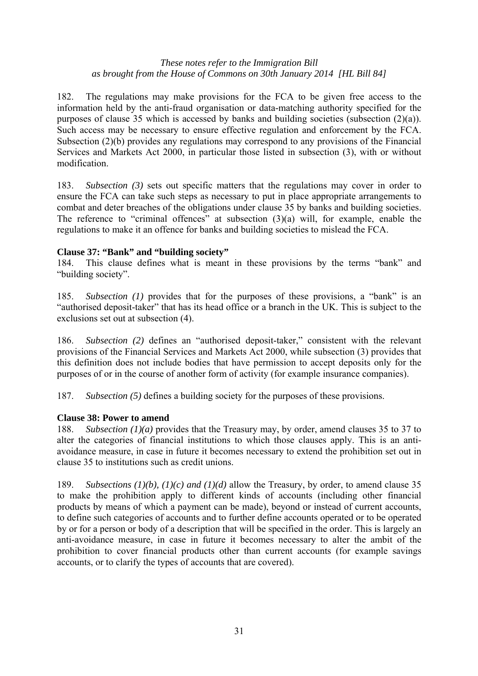182. The regulations may make provisions for the FCA to be given free access to the information held by the anti-fraud organisation or data-matching authority specified for the purposes of clause 35 which is accessed by banks and building societies (subsection (2)(a)). Such access may be necessary to ensure effective regulation and enforcement by the FCA. Subsection (2)(b) provides any regulations may correspond to any provisions of the Financial Services and Markets Act 2000, in particular those listed in subsection (3), with or without modification.

183. *Subsection (3)* sets out specific matters that the regulations may cover in order to ensure the FCA can take such steps as necessary to put in place appropriate arrangements to combat and deter breaches of the obligations under clause 35 by banks and building societies. The reference to "criminal offences" at subsection  $(3)(a)$  will, for example, enable the regulations to make it an offence for banks and building societies to mislead the FCA.

### **Clause 37: "Bank" and "building society"**

184. This clause defines what is meant in these provisions by the terms "bank" and "building society".

185. *Subsection (1)* provides that for the purposes of these provisions, a "bank" is an "authorised deposit-taker" that has its head office or a branch in the UK. This is subject to the exclusions set out at subsection (4).

186. *Subsection (2)* defines an "authorised deposit-taker," consistent with the relevant provisions of the Financial Services and Markets Act 2000, while subsection (3) provides that this definition does not include bodies that have permission to accept deposits only for the purposes of or in the course of another form of activity (for example insurance companies).

187. *Subsection (5)* defines a building society for the purposes of these provisions.

#### **Clause 38: Power to amend**

188. *Subsection (1)(a)* provides that the Treasury may, by order, amend clauses 35 to 37 to alter the categories of financial institutions to which those clauses apply. This is an antiavoidance measure, in case in future it becomes necessary to extend the prohibition set out in clause 35 to institutions such as credit unions.

189. *Subsections (1)(b), (1)(c) and (1)(d)* allow the Treasury, by order, to amend clause 35 to make the prohibition apply to different kinds of accounts (including other financial products by means of which a payment can be made), beyond or instead of current accounts, to define such categories of accounts and to further define accounts operated or to be operated by or for a person or body of a description that will be specified in the order. This is largely an anti-avoidance measure, in case in future it becomes necessary to alter the ambit of the prohibition to cover financial products other than current accounts (for example savings accounts, or to clarify the types of accounts that are covered).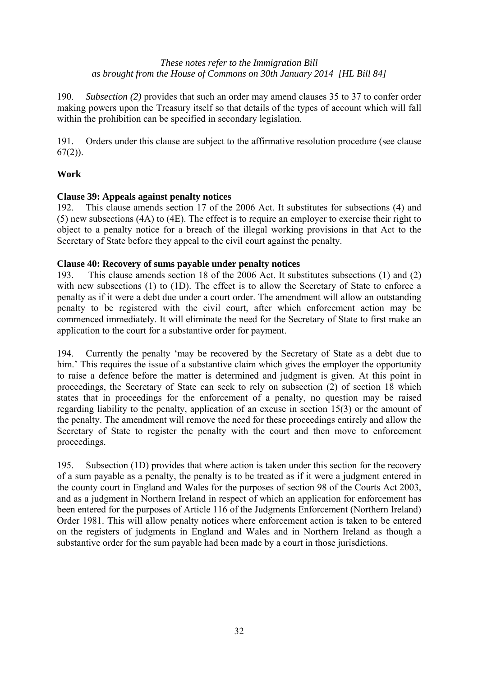190. *Subsection (2)* provides that such an order may amend clauses 35 to 37 to confer order making powers upon the Treasury itself so that details of the types of account which will fall within the prohibition can be specified in secondary legislation.

191. Orders under this clause are subject to the affirmative resolution procedure (see clause  $67(2)$ ).

# **Work**

# **Clause 39: Appeals against penalty notices**

192. This clause amends section 17 of the 2006 Act. It substitutes for subsections (4) and (5) new subsections (4A) to (4E). The effect is to require an employer to exercise their right to object to a penalty notice for a breach of the illegal working provisions in that Act to the Secretary of State before they appeal to the civil court against the penalty.

# **Clause 40: Recovery of sums payable under penalty notices**

193. This clause amends section 18 of the 2006 Act. It substitutes subsections (1) and (2) with new subsections (1) to (1D). The effect is to allow the Secretary of State to enforce a penalty as if it were a debt due under a court order. The amendment will allow an outstanding penalty to be registered with the civil court, after which enforcement action may be commenced immediately. It will eliminate the need for the Secretary of State to first make an application to the court for a substantive order for payment.

194. Currently the penalty 'may be recovered by the Secretary of State as a debt due to him.' This requires the issue of a substantive claim which gives the employer the opportunity to raise a defence before the matter is determined and judgment is given. At this point in proceedings, the Secretary of State can seek to rely on subsection (2) of section 18 which states that in proceedings for the enforcement of a penalty, no question may be raised regarding liability to the penalty, application of an excuse in section 15(3) or the amount of the penalty. The amendment will remove the need for these proceedings entirely and allow the Secretary of State to register the penalty with the court and then move to enforcement proceedings.

195. Subsection (1D) provides that where action is taken under this section for the recovery of a sum payable as a penalty, the penalty is to be treated as if it were a judgment entered in the county court in England and Wales for the purposes of section 98 of the Courts Act 2003, and as a judgment in Northern Ireland in respect of which an application for enforcement has been entered for the purposes of Article 116 of the Judgments Enforcement (Northern Ireland) Order 1981. This will allow penalty notices where enforcement action is taken to be entered on the registers of judgments in England and Wales and in Northern Ireland as though a substantive order for the sum payable had been made by a court in those jurisdictions.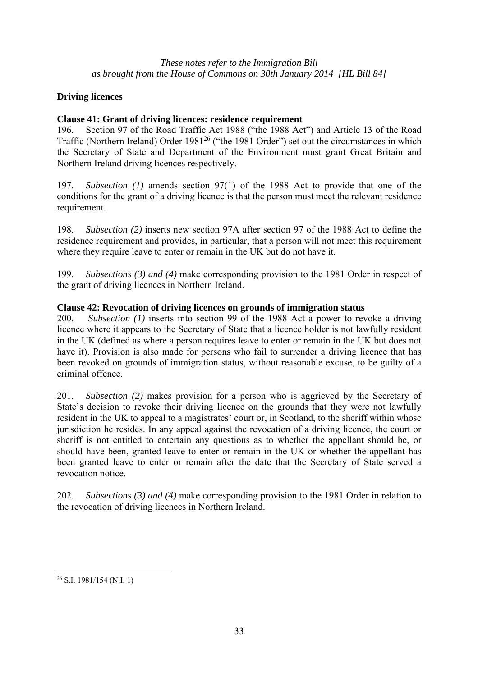# **Driving licences**

# **Clause 41: Grant of driving licences: residence requirement**

196. Section 97 of the Road Traffic Act 1988 ("the 1988 Act") and Article 13 of the Road Traffic (Northern Ireland) Order  $1981^{26}$  ("the 1981 Order") set out the circumstances in which the Secretary of State and Department of the Environment must grant Great Britain and Northern Ireland driving licences respectively.

197. *Subsection (1)* amends section 97(1) of the 1988 Act to provide that one of the conditions for the grant of a driving licence is that the person must meet the relevant residence requirement.

198. *Subsection (2)* inserts new section 97A after section 97 of the 1988 Act to define the residence requirement and provides, in particular, that a person will not meet this requirement where they require leave to enter or remain in the UK but do not have it.

199. *Subsections (3) and (4)* make corresponding provision to the 1981 Order in respect of the grant of driving licences in Northern Ireland.

# **Clause 42: Revocation of driving licences on grounds of immigration status**

200. *Subsection (1)* inserts into section 99 of the 1988 Act a power to revoke a driving licence where it appears to the Secretary of State that a licence holder is not lawfully resident in the UK (defined as where a person requires leave to enter or remain in the UK but does not have it). Provision is also made for persons who fail to surrender a driving licence that has been revoked on grounds of immigration status, without reasonable excuse, to be guilty of a criminal offence.

201. *Subsection (2)* makes provision for a person who is aggrieved by the Secretary of State's decision to revoke their driving licence on the grounds that they were not lawfully resident in the UK to appeal to a magistrates' court or, in Scotland, to the sheriff within whose jurisdiction he resides. In any appeal against the revocation of a driving licence, the court or sheriff is not entitled to entertain any questions as to whether the appellant should be, or should have been, granted leave to enter or remain in the UK or whether the appellant has been granted leave to enter or remain after the date that the Secretary of State served a revocation notice.

202. *Subsections (3) and (4)* make corresponding provision to the 1981 Order in relation to the revocation of driving licences in Northern Ireland.

 $\overline{a}$ 

 $26$  S.I. 1981/154 (N.I. 1)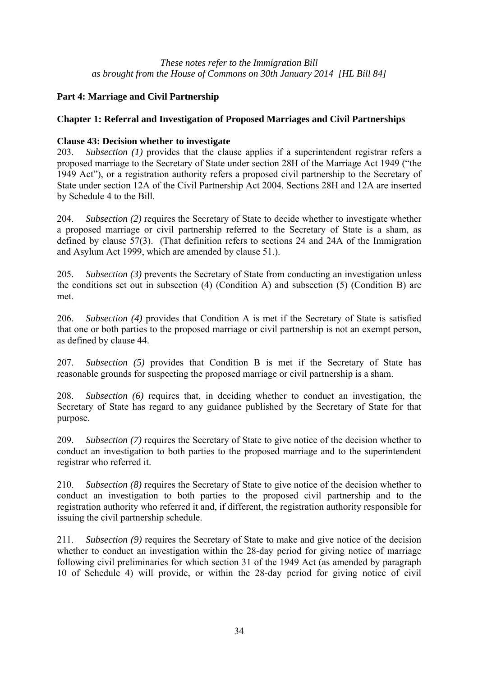# **Part 4: Marriage and Civil Partnership**

# **Chapter 1: Referral and Investigation of Proposed Marriages and Civil Partnerships**

# **Clause 43: Decision whether to investigate**

203. *Subsection (1)* provides that the clause applies if a superintendent registrar refers a proposed marriage to the Secretary of State under section 28H of the Marriage Act 1949 ("the 1949 Act"), or a registration authority refers a proposed civil partnership to the Secretary of State under section 12A of the Civil Partnership Act 2004. Sections 28H and 12A are inserted by Schedule 4 to the Bill.

204. *Subsection (2)* requires the Secretary of State to decide whether to investigate whether a proposed marriage or civil partnership referred to the Secretary of State is a sham, as defined by clause 57(3). (That definition refers to sections 24 and 24A of the Immigration and Asylum Act 1999, which are amended by clause 51.).

205. *Subsection (3)* prevents the Secretary of State from conducting an investigation unless the conditions set out in subsection (4) (Condition A) and subsection (5) (Condition B) are met.

206. *Subsection (4)* provides that Condition A is met if the Secretary of State is satisfied that one or both parties to the proposed marriage or civil partnership is not an exempt person, as defined by clause 44.

207. *Subsection (5)* provides that Condition B is met if the Secretary of State has reasonable grounds for suspecting the proposed marriage or civil partnership is a sham.

208. *Subsection (6)* requires that, in deciding whether to conduct an investigation, the Secretary of State has regard to any guidance published by the Secretary of State for that purpose.

209. *Subsection (7)* requires the Secretary of State to give notice of the decision whether to conduct an investigation to both parties to the proposed marriage and to the superintendent registrar who referred it.

210. *Subsection (8)* requires the Secretary of State to give notice of the decision whether to conduct an investigation to both parties to the proposed civil partnership and to the registration authority who referred it and, if different, the registration authority responsible for issuing the civil partnership schedule.

211. *Subsection (9)* requires the Secretary of State to make and give notice of the decision whether to conduct an investigation within the 28-day period for giving notice of marriage following civil preliminaries for which section 31 of the 1949 Act (as amended by paragraph 10 of Schedule 4) will provide, or within the 28-day period for giving notice of civil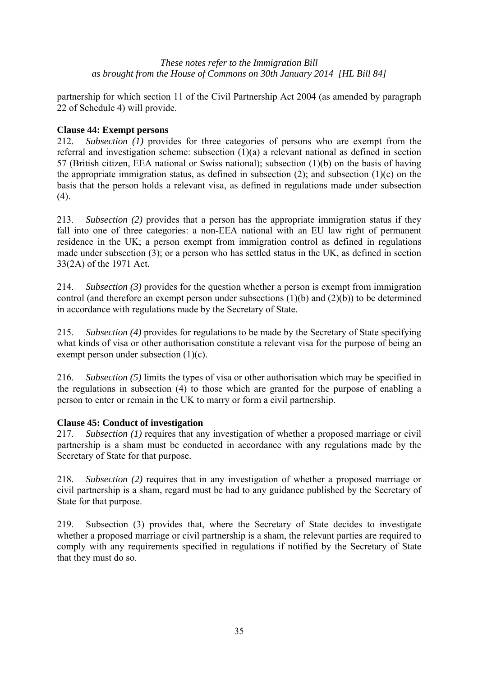partnership for which section 11 of the Civil Partnership Act 2004 (as amended by paragraph 22 of Schedule 4) will provide.

# **Clause 44: Exempt persons**

212. *Subsection (1)* provides for three categories of persons who are exempt from the referral and investigation scheme: subsection (1)(a) a relevant national as defined in section 57 (British citizen, EEA national or Swiss national); subsection (1)(b) on the basis of having the appropriate immigration status, as defined in subsection  $(2)$ ; and subsection  $(1)(c)$  on the basis that the person holds a relevant visa, as defined in regulations made under subsection (4).

213. *Subsection (2)* provides that a person has the appropriate immigration status if they fall into one of three categories: a non-EEA national with an EU law right of permanent residence in the UK; a person exempt from immigration control as defined in regulations made under subsection (3); or a person who has settled status in the UK, as defined in section 33(2A) of the 1971 Act*.*

214. *Subsection (3)* provides for the question whether a person is exempt from immigration control (and therefore an exempt person under subsections (1)(b) and (2)(b)) to be determined in accordance with regulations made by the Secretary of State.

215. *Subsection (4)* provides for regulations to be made by the Secretary of State specifying what kinds of visa or other authorisation constitute a relevant visa for the purpose of being an exempt person under subsection (1)(c).

216. *Subsection (5)* limits the types of visa or other authorisation which may be specified in the regulations in subsection (4) to those which are granted for the purpose of enabling a person to enter or remain in the UK to marry or form a civil partnership.

# **Clause 45: Conduct of investigation**

217. *Subsection (1)* requires that any investigation of whether a proposed marriage or civil partnership is a sham must be conducted in accordance with any regulations made by the Secretary of State for that purpose.

218. *Subsection (2)* requires that in any investigation of whether a proposed marriage or civil partnership is a sham, regard must be had to any guidance published by the Secretary of State for that purpose.

219. Subsection (3) provides that, where the Secretary of State decides to investigate whether a proposed marriage or civil partnership is a sham, the relevant parties are required to comply with any requirements specified in regulations if notified by the Secretary of State that they must do so.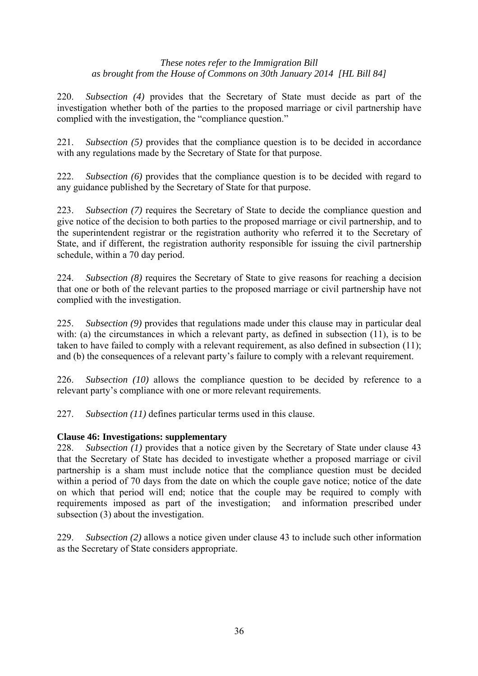220. *Subsection (4)* provides that the Secretary of State must decide as part of the investigation whether both of the parties to the proposed marriage or civil partnership have complied with the investigation, the "compliance question."

221. *Subsection (5)* provides that the compliance question is to be decided in accordance with any regulations made by the Secretary of State for that purpose.

222. *Subsection (6)* provides that the compliance question is to be decided with regard to any guidance published by the Secretary of State for that purpose.

223. *Subsection (7)* requires the Secretary of State to decide the compliance question and give notice of the decision to both parties to the proposed marriage or civil partnership, and to the superintendent registrar or the registration authority who referred it to the Secretary of State, and if different, the registration authority responsible for issuing the civil partnership schedule, within a 70 day period.

224. *Subsection (8)* requires the Secretary of State to give reasons for reaching a decision that one or both of the relevant parties to the proposed marriage or civil partnership have not complied with the investigation.

225. *Subsection (9)* provides that regulations made under this clause may in particular deal with: (a) the circumstances in which a relevant party, as defined in subsection (11), is to be taken to have failed to comply with a relevant requirement, as also defined in subsection (11); and (b) the consequences of a relevant party's failure to comply with a relevant requirement.

226. *Subsection (10)* allows the compliance question to be decided by reference to a relevant party's compliance with one or more relevant requirements.

227. *Subsection (11)* defines particular terms used in this clause.

# **Clause 46: Investigations: supplementary**

228. *Subsection (1)* provides that a notice given by the Secretary of State under clause 43 that the Secretary of State has decided to investigate whether a proposed marriage or civil partnership is a sham must include notice that the compliance question must be decided within a period of 70 days from the date on which the couple gave notice; notice of the date on which that period will end; notice that the couple may be required to comply with requirements imposed as part of the investigation; and information prescribed under subsection (3) about the investigation.

229. *Subsection (2)* allows a notice given under clause 43 to include such other information as the Secretary of State considers appropriate.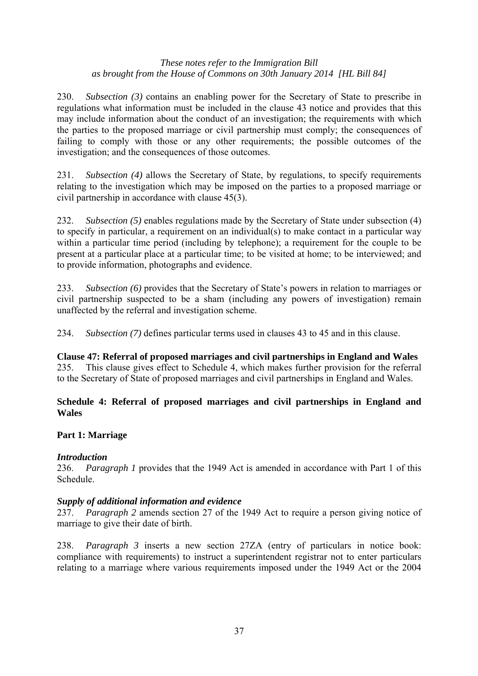230. *Subsection (3)* contains an enabling power for the Secretary of State to prescribe in regulations what information must be included in the clause 43 notice and provides that this may include information about the conduct of an investigation; the requirements with which the parties to the proposed marriage or civil partnership must comply; the consequences of failing to comply with those or any other requirements; the possible outcomes of the investigation; and the consequences of those outcomes.

231. *Subsection (4)* allows the Secretary of State, by regulations, to specify requirements relating to the investigation which may be imposed on the parties to a proposed marriage or civil partnership in accordance with clause 45(3).

232. *Subsection* (5) enables regulations made by the Secretary of State under subsection (4) to specify in particular, a requirement on an individual(s) to make contact in a particular way within a particular time period (including by telephone); a requirement for the couple to be present at a particular place at a particular time; to be visited at home; to be interviewed; and to provide information, photographs and evidence.

233. *Subsection (6)* provides that the Secretary of State's powers in relation to marriages or civil partnership suspected to be a sham (including any powers of investigation) remain unaffected by the referral and investigation scheme.

234. *Subsection (7)* defines particular terms used in clauses 43 to 45 and in this clause.

**Clause 47: Referral of proposed marriages and civil partnerships in England and Wales** 235. This clause gives effect to Schedule 4, which makes further provision for the referral to the Secretary of State of proposed marriages and civil partnerships in England and Wales.

# **Schedule 4: Referral of proposed marriages and civil partnerships in England and Wales**

# **Part 1: Marriage**

# *Introduction*

236. *Paragraph 1* provides that the 1949 Act is amended in accordance with Part 1 of this Schedule.

# *Supply of additional information and evidence*

237. *Paragraph 2* amends section 27 of the 1949 Act to require a person giving notice of marriage to give their date of birth.

238. *Paragraph 3* inserts a new section 27ZA (entry of particulars in notice book: compliance with requirements) to instruct a superintendent registrar not to enter particulars relating to a marriage where various requirements imposed under the 1949 Act or the 2004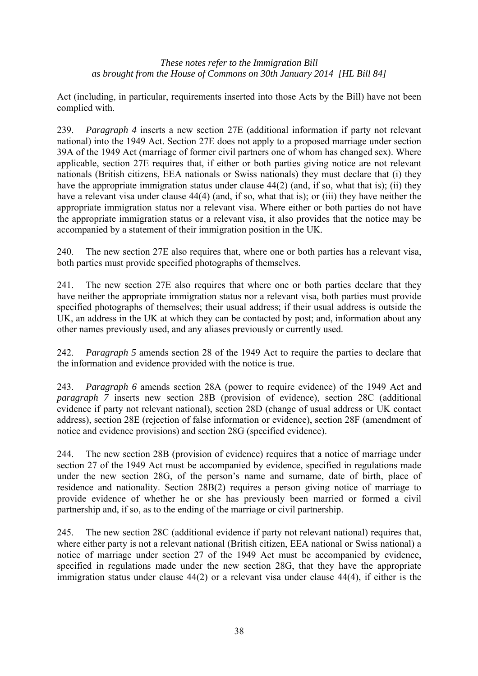Act (including, in particular, requirements inserted into those Acts by the Bill) have not been complied with.

239. *Paragraph 4* inserts a new section 27E (additional information if party not relevant national) into the 1949 Act. Section 27E does not apply to a proposed marriage under section 39A of the 1949 Act (marriage of former civil partners one of whom has changed sex). Where applicable, section 27E requires that, if either or both parties giving notice are not relevant nationals (British citizens, EEA nationals or Swiss nationals) they must declare that (i) they have the appropriate immigration status under clause 44(2) (and, if so, what that is); (ii) they have a relevant visa under clause 44(4) (and, if so, what that is); or (iii) they have neither the appropriate immigration status nor a relevant visa. Where either or both parties do not have the appropriate immigration status or a relevant visa, it also provides that the notice may be accompanied by a statement of their immigration position in the UK.

240. The new section 27E also requires that, where one or both parties has a relevant visa, both parties must provide specified photographs of themselves.

241. The new section 27E also requires that where one or both parties declare that they have neither the appropriate immigration status nor a relevant visa, both parties must provide specified photographs of themselves; their usual address; if their usual address is outside the UK, an address in the UK at which they can be contacted by post; and, information about any other names previously used, and any aliases previously or currently used.

242. *Paragraph 5* amends section 28 of the 1949 Act to require the parties to declare that the information and evidence provided with the notice is true.

243. *Paragraph 6* amends section 28A (power to require evidence) of the 1949 Act and *paragraph 7* inserts new section 28B (provision of evidence), section 28C (additional evidence if party not relevant national), section 28D (change of usual address or UK contact address), section 28E (rejection of false information or evidence), section 28F (amendment of notice and evidence provisions) and section 28G (specified evidence).

244. The new section 28B (provision of evidence) requires that a notice of marriage under section 27 of the 1949 Act must be accompanied by evidence, specified in regulations made under the new section 28G, of the person's name and surname, date of birth, place of residence and nationality. Section 28B(2) requires a person giving notice of marriage to provide evidence of whether he or she has previously been married or formed a civil partnership and, if so, as to the ending of the marriage or civil partnership.

245. The new section 28C (additional evidence if party not relevant national) requires that, where either party is not a relevant national (British citizen, EEA national or Swiss national) a notice of marriage under section 27 of the 1949 Act must be accompanied by evidence, specified in regulations made under the new section 28G, that they have the appropriate immigration status under clause 44(2) or a relevant visa under clause 44(4), if either is the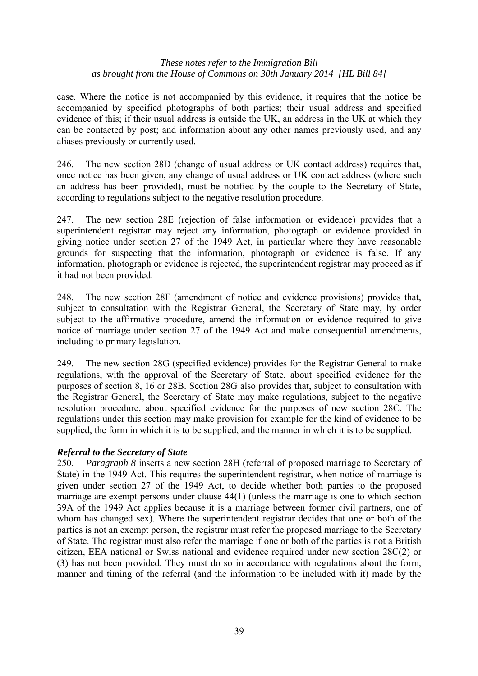case. Where the notice is not accompanied by this evidence, it requires that the notice be accompanied by specified photographs of both parties; their usual address and specified evidence of this; if their usual address is outside the UK, an address in the UK at which they can be contacted by post; and information about any other names previously used, and any aliases previously or currently used.

246. The new section 28D (change of usual address or UK contact address) requires that, once notice has been given, any change of usual address or UK contact address (where such an address has been provided), must be notified by the couple to the Secretary of State, according to regulations subject to the negative resolution procedure.

247. The new section 28E (rejection of false information or evidence) provides that a superintendent registrar may reject any information, photograph or evidence provided in giving notice under section 27 of the 1949 Act, in particular where they have reasonable grounds for suspecting that the information, photograph or evidence is false. If any information, photograph or evidence is rejected, the superintendent registrar may proceed as if it had not been provided.

248. The new section 28F (amendment of notice and evidence provisions) provides that, subject to consultation with the Registrar General, the Secretary of State may, by order subject to the affirmative procedure, amend the information or evidence required to give notice of marriage under section 27 of the 1949 Act and make consequential amendments, including to primary legislation.

249. The new section 28G (specified evidence) provides for the Registrar General to make regulations, with the approval of the Secretary of State, about specified evidence for the purposes of section 8, 16 or 28B. Section 28G also provides that, subject to consultation with the Registrar General, the Secretary of State may make regulations, subject to the negative resolution procedure, about specified evidence for the purposes of new section 28C. The regulations under this section may make provision for example for the kind of evidence to be supplied, the form in which it is to be supplied, and the manner in which it is to be supplied.

# *Referral to the Secretary of State*

250. *Paragraph 8* inserts a new section 28H (referral of proposed marriage to Secretary of State) in the 1949 Act. This requires the superintendent registrar, when notice of marriage is given under section 27 of the 1949 Act, to decide whether both parties to the proposed marriage are exempt persons under clause 44(1) (unless the marriage is one to which section 39A of the 1949 Act applies because it is a marriage between former civil partners, one of whom has changed sex). Where the superintendent registrar decides that one or both of the parties is not an exempt person, the registrar must refer the proposed marriage to the Secretary of State. The registrar must also refer the marriage if one or both of the parties is not a British citizen, EEA national or Swiss national and evidence required under new section 28C(2) or (3) has not been provided. They must do so in accordance with regulations about the form, manner and timing of the referral (and the information to be included with it) made by the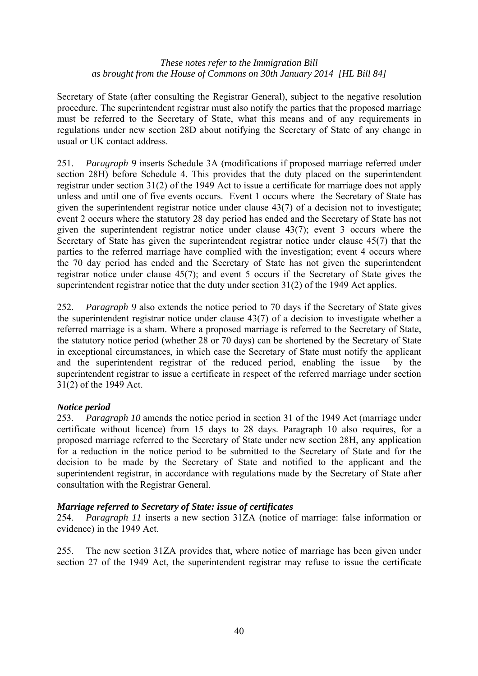Secretary of State (after consulting the Registrar General), subject to the negative resolution procedure. The superintendent registrar must also notify the parties that the proposed marriage must be referred to the Secretary of State, what this means and of any requirements in regulations under new section 28D about notifying the Secretary of State of any change in usual or UK contact address.

251. *Paragraph 9* inserts Schedule 3A (modifications if proposed marriage referred under section 28H) before Schedule 4. This provides that the duty placed on the superintendent registrar under section 31(2) of the 1949 Act to issue a certificate for marriage does not apply unless and until one of five events occurs. Event 1 occurs where the Secretary of State has given the superintendent registrar notice under clause 43(7) of a decision not to investigate; event 2 occurs where the statutory 28 day period has ended and the Secretary of State has not given the superintendent registrar notice under clause 43(7); event 3 occurs where the Secretary of State has given the superintendent registrar notice under clause 45(7) that the parties to the referred marriage have complied with the investigation; event 4 occurs where the 70 day period has ended and the Secretary of State has not given the superintendent registrar notice under clause 45(7); and event 5 occurs if the Secretary of State gives the superintendent registrar notice that the duty under section 31(2) of the 1949 Act applies.

252. *Paragraph 9* also extends the notice period to 70 days if the Secretary of State gives the superintendent registrar notice under clause 43(7) of a decision to investigate whether a referred marriage is a sham. Where a proposed marriage is referred to the Secretary of State, the statutory notice period (whether 28 or 70 days) can be shortened by the Secretary of State in exceptional circumstances, in which case the Secretary of State must notify the applicant and the superintendent registrar of the reduced period, enabling the issue by the superintendent registrar to issue a certificate in respect of the referred marriage under section 31(2) of the 1949 Act.

# *Notice period*

253. *Paragraph 10* amends the notice period in section 31 of the 1949 Act (marriage under certificate without licence) from 15 days to 28 days. Paragraph 10 also requires, for a proposed marriage referred to the Secretary of State under new section 28H, any application for a reduction in the notice period to be submitted to the Secretary of State and for the decision to be made by the Secretary of State and notified to the applicant and the superintendent registrar, in accordance with regulations made by the Secretary of State after consultation with the Registrar General.

# *Marriage referred to Secretary of State: issue of certificates*

254. *Paragraph 11* inserts a new section 31ZA (notice of marriage: false information or evidence) in the 1949 Act.

255. The new section 31ZA provides that, where notice of marriage has been given under section 27 of the 1949 Act, the superintendent registrar may refuse to issue the certificate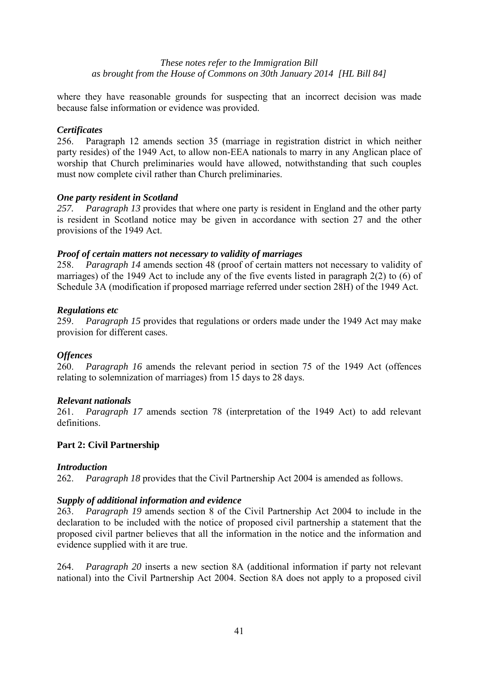where they have reasonable grounds for suspecting that an incorrect decision was made because false information or evidence was provided.

# *Certificates*

256. Paragraph 12 amends section 35 (marriage in registration district in which neither party resides) of the 1949 Act, to allow non-EEA nationals to marry in any Anglican place of worship that Church preliminaries would have allowed, notwithstanding that such couples must now complete civil rather than Church preliminaries.

### *One party resident in Scotland*

*257. Paragraph 13* provides that where one party is resident in England and the other party is resident in Scotland notice may be given in accordance with section 27 and the other provisions of the 1949 Act.

### *Proof of certain matters not necessary to validity of marriages*

258. *Paragraph 14* amends section 48 (proof of certain matters not necessary to validity of marriages) of the 1949 Act to include any of the five events listed in paragraph 2(2) to (6) of Schedule 3A (modification if proposed marriage referred under section 28H) of the 1949 Act.

#### *Regulations etc*

259. *Paragraph 15* provides that regulations or orders made under the 1949 Act may make provision for different cases.

#### *Offences*

260. *Paragraph 16* amends the relevant period in section 75 of the 1949 Act (offences relating to solemnization of marriages) from 15 days to 28 days.

#### *Relevant nationals*

261. *Paragraph 17* amends section 78 (interpretation of the 1949 Act) to add relevant definitions.

#### **Part 2: Civil Partnership**

#### *Introduction*

262. *Paragraph 18* provides that the Civil Partnership Act 2004 is amended as follows.

# *Supply of additional information and evidence*

263. *Paragraph 19* amends section 8 of the Civil Partnership Act 2004 to include in the declaration to be included with the notice of proposed civil partnership a statement that the proposed civil partner believes that all the information in the notice and the information and evidence supplied with it are true.

264. *Paragraph 20* inserts a new section 8A (additional information if party not relevant national) into the Civil Partnership Act 2004. Section 8A does not apply to a proposed civil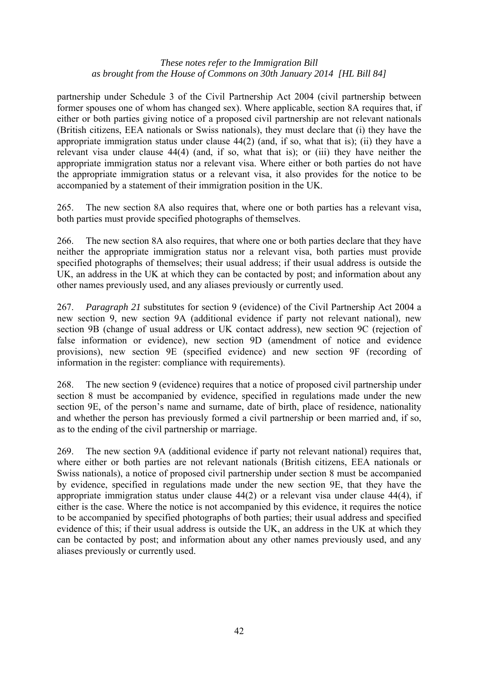partnership under Schedule 3 of the Civil Partnership Act 2004 (civil partnership between former spouses one of whom has changed sex). Where applicable, section 8A requires that, if either or both parties giving notice of a proposed civil partnership are not relevant nationals (British citizens, EEA nationals or Swiss nationals), they must declare that (i) they have the appropriate immigration status under clause 44(2) (and, if so, what that is); (ii) they have a relevant visa under clause 44(4) (and, if so, what that is); or (iii) they have neither the appropriate immigration status nor a relevant visa. Where either or both parties do not have the appropriate immigration status or a relevant visa, it also provides for the notice to be accompanied by a statement of their immigration position in the UK.

265. The new section 8A also requires that, where one or both parties has a relevant visa, both parties must provide specified photographs of themselves.

266. The new section 8A also requires, that where one or both parties declare that they have neither the appropriate immigration status nor a relevant visa, both parties must provide specified photographs of themselves; their usual address; if their usual address is outside the UK, an address in the UK at which they can be contacted by post; and information about any other names previously used, and any aliases previously or currently used.

267. *Paragraph 21* substitutes for section 9 (evidence) of the Civil Partnership Act 2004 a new section 9, new section 9A (additional evidence if party not relevant national), new section 9B (change of usual address or UK contact address), new section 9C (rejection of false information or evidence), new section 9D (amendment of notice and evidence provisions), new section 9E (specified evidence) and new section 9F (recording of information in the register: compliance with requirements).

268. The new section 9 (evidence) requires that a notice of proposed civil partnership under section 8 must be accompanied by evidence, specified in regulations made under the new section 9E, of the person's name and surname, date of birth, place of residence, nationality and whether the person has previously formed a civil partnership or been married and, if so, as to the ending of the civil partnership or marriage.

269. The new section 9A (additional evidence if party not relevant national) requires that, where either or both parties are not relevant nationals (British citizens, EEA nationals or Swiss nationals), a notice of proposed civil partnership under section 8 must be accompanied by evidence, specified in regulations made under the new section 9E, that they have the appropriate immigration status under clause 44(2) or a relevant visa under clause 44(4), if either is the case. Where the notice is not accompanied by this evidence, it requires the notice to be accompanied by specified photographs of both parties; their usual address and specified evidence of this; if their usual address is outside the UK, an address in the UK at which they can be contacted by post; and information about any other names previously used, and any aliases previously or currently used.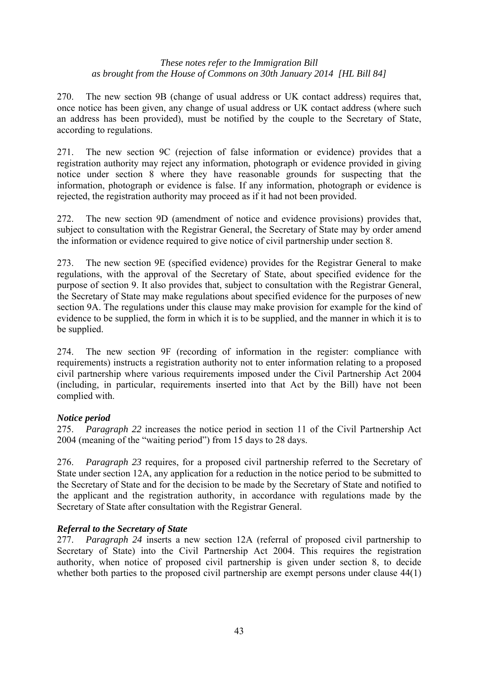270. The new section 9B (change of usual address or UK contact address) requires that, once notice has been given, any change of usual address or UK contact address (where such an address has been provided), must be notified by the couple to the Secretary of State, according to regulations.

271. The new section 9C (rejection of false information or evidence) provides that a registration authority may reject any information, photograph or evidence provided in giving notice under section 8 where they have reasonable grounds for suspecting that the information, photograph or evidence is false. If any information, photograph or evidence is rejected, the registration authority may proceed as if it had not been provided.

272. The new section 9D (amendment of notice and evidence provisions) provides that, subject to consultation with the Registrar General, the Secretary of State may by order amend the information or evidence required to give notice of civil partnership under section 8.

273. The new section 9E (specified evidence) provides for the Registrar General to make regulations, with the approval of the Secretary of State, about specified evidence for the purpose of section 9. It also provides that, subject to consultation with the Registrar General, the Secretary of State may make regulations about specified evidence for the purposes of new section 9A. The regulations under this clause may make provision for example for the kind of evidence to be supplied, the form in which it is to be supplied, and the manner in which it is to be supplied.

274. The new section 9F (recording of information in the register: compliance with requirements) instructs a registration authority not to enter information relating to a proposed civil partnership where various requirements imposed under the Civil Partnership Act 2004 (including, in particular, requirements inserted into that Act by the Bill) have not been complied with.

# *Notice period*

275. *Paragraph 22* increases the notice period in section 11 of the Civil Partnership Act 2004 (meaning of the "waiting period") from 15 days to 28 days.

276. *Paragraph 23* requires, for a proposed civil partnership referred to the Secretary of State under section 12A, any application for a reduction in the notice period to be submitted to the Secretary of State and for the decision to be made by the Secretary of State and notified to the applicant and the registration authority, in accordance with regulations made by the Secretary of State after consultation with the Registrar General.

# *Referral to the Secretary of State*

277. *Paragraph 24* inserts a new section 12A (referral of proposed civil partnership to Secretary of State) into the Civil Partnership Act 2004. This requires the registration authority, when notice of proposed civil partnership is given under section 8, to decide whether both parties to the proposed civil partnership are exempt persons under clause  $44(1)$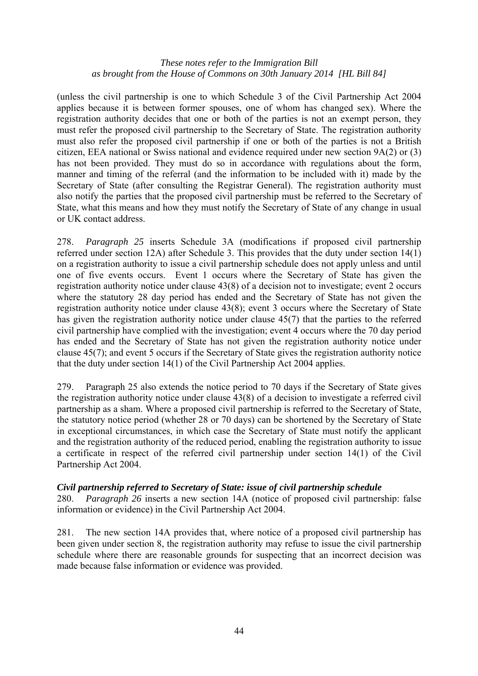(unless the civil partnership is one to which Schedule 3 of the Civil Partnership Act 2004 applies because it is between former spouses, one of whom has changed sex). Where the registration authority decides that one or both of the parties is not an exempt person, they must refer the proposed civil partnership to the Secretary of State. The registration authority must also refer the proposed civil partnership if one or both of the parties is not a British citizen, EEA national or Swiss national and evidence required under new section 9A(2) or (3) has not been provided. They must do so in accordance with regulations about the form, manner and timing of the referral (and the information to be included with it) made by the Secretary of State (after consulting the Registrar General). The registration authority must also notify the parties that the proposed civil partnership must be referred to the Secretary of State, what this means and how they must notify the Secretary of State of any change in usual or UK contact address.

278. *Paragraph 25* inserts Schedule 3A (modifications if proposed civil partnership referred under section 12A) after Schedule 3. This provides that the duty under section 14(1) on a registration authority to issue a civil partnership schedule does not apply unless and until one of five events occurs. Event 1 occurs where the Secretary of State has given the registration authority notice under clause 43(8) of a decision not to investigate; event 2 occurs where the statutory 28 day period has ended and the Secretary of State has not given the registration authority notice under clause 43(8); event 3 occurs where the Secretary of State has given the registration authority notice under clause 45(7) that the parties to the referred civil partnership have complied with the investigation; event 4 occurs where the 70 day period has ended and the Secretary of State has not given the registration authority notice under clause 45(7); and event 5 occurs if the Secretary of State gives the registration authority notice that the duty under section 14(1) of the Civil Partnership Act 2004 applies.

279. Paragraph 25 also extends the notice period to 70 days if the Secretary of State gives the registration authority notice under clause 43(8) of a decision to investigate a referred civil partnership as a sham. Where a proposed civil partnership is referred to the Secretary of State, the statutory notice period (whether 28 or 70 days) can be shortened by the Secretary of State in exceptional circumstances, in which case the Secretary of State must notify the applicant and the registration authority of the reduced period, enabling the registration authority to issue a certificate in respect of the referred civil partnership under section 14(1) of the Civil Partnership Act 2004.

# *Civil partnership referred to Secretary of State: issue of civil partnership schedule*

280. *Paragraph 26* inserts a new section 14A (notice of proposed civil partnership: false information or evidence) in the Civil Partnership Act 2004.

281. The new section 14A provides that, where notice of a proposed civil partnership has been given under section 8, the registration authority may refuse to issue the civil partnership schedule where there are reasonable grounds for suspecting that an incorrect decision was made because false information or evidence was provided.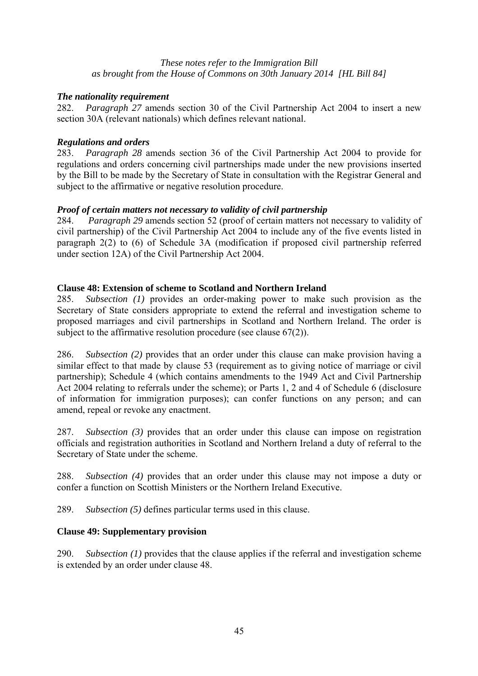# *The nationality requirement*

282. *Paragraph 27* amends section 30 of the Civil Partnership Act 2004 to insert a new section 30A (relevant nationals) which defines relevant national.

#### *Regulations and orders*

283. *Paragraph 28* amends section 36 of the Civil Partnership Act 2004 to provide for regulations and orders concerning civil partnerships made under the new provisions inserted by the Bill to be made by the Secretary of State in consultation with the Registrar General and subject to the affirmative or negative resolution procedure.

### *Proof of certain matters not necessary to validity of civil partnership*

284. *Paragraph 29* amends section 52 (proof of certain matters not necessary to validity of civil partnership) of the Civil Partnership Act 2004 to include any of the five events listed in paragraph 2(2) to (6) of Schedule 3A (modification if proposed civil partnership referred under section 12A) of the Civil Partnership Act 2004.

### **Clause 48: Extension of scheme to Scotland and Northern Ireland**

285. *Subsection (1)* provides an order-making power to make such provision as the Secretary of State considers appropriate to extend the referral and investigation scheme to proposed marriages and civil partnerships in Scotland and Northern Ireland. The order is subject to the affirmative resolution procedure (see clause 67(2)).

286. *Subsection (2)* provides that an order under this clause can make provision having a similar effect to that made by clause 53 (requirement as to giving notice of marriage or civil partnership); Schedule 4 (which contains amendments to the 1949 Act and Civil Partnership Act 2004 relating to referrals under the scheme); or Parts 1, 2 and 4 of Schedule 6 (disclosure of information for immigration purposes); can confer functions on any person; and can amend, repeal or revoke any enactment.

287. *Subsection (3)* provides that an order under this clause can impose on registration officials and registration authorities in Scotland and Northern Ireland a duty of referral to the Secretary of State under the scheme.

288. *Subsection (4)* provides that an order under this clause may not impose a duty or confer a function on Scottish Ministers or the Northern Ireland Executive.

289. *Subsection (5)* defines particular terms used in this clause.

# **Clause 49: Supplementary provision**

290. *Subsection (1)* provides that the clause applies if the referral and investigation scheme is extended by an order under clause 48.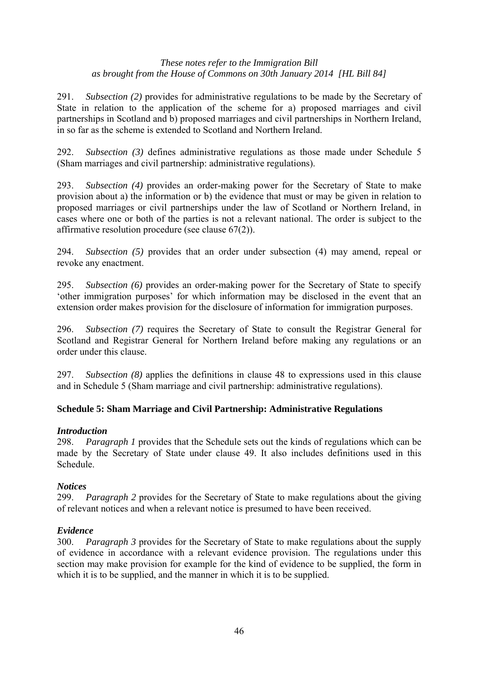291. *Subsection (2)* provides for administrative regulations to be made by the Secretary of State in relation to the application of the scheme for a) proposed marriages and civil partnerships in Scotland and b) proposed marriages and civil partnerships in Northern Ireland, in so far as the scheme is extended to Scotland and Northern Ireland.

292. *Subsection (3)* defines administrative regulations as those made under Schedule 5 (Sham marriages and civil partnership: administrative regulations).

293. *Subsection (4)* provides an order-making power for the Secretary of State to make provision about a) the information or b) the evidence that must or may be given in relation to proposed marriages or civil partnerships under the law of Scotland or Northern Ireland, in cases where one or both of the parties is not a relevant national. The order is subject to the affirmative resolution procedure (see clause 67(2)).

294. *Subsection (5)* provides that an order under subsection (4) may amend, repeal or revoke any enactment.

295. *Subsection (6)* provides an order-making power for the Secretary of State to specify 'other immigration purposes' for which information may be disclosed in the event that an extension order makes provision for the disclosure of information for immigration purposes.

296. *Subsection (7)* requires the Secretary of State to consult the Registrar General for Scotland and Registrar General for Northern Ireland before making any regulations or an order under this clause.

297. *Subsection (8)* applies the definitions in clause 48 to expressions used in this clause and in Schedule 5 (Sham marriage and civil partnership: administrative regulations).

# **Schedule 5: Sham Marriage and Civil Partnership: Administrative Regulations**

# *Introduction*

298. *Paragraph 1* provides that the Schedule sets out the kinds of regulations which can be made by the Secretary of State under clause 49. It also includes definitions used in this Schedule.

# *Notices*

299. *Paragraph 2* provides for the Secretary of State to make regulations about the giving of relevant notices and when a relevant notice is presumed to have been received.

# *Evidence*

300. *Paragraph 3* provides for the Secretary of State to make regulations about the supply of evidence in accordance with a relevant evidence provision. The regulations under this section may make provision for example for the kind of evidence to be supplied, the form in which it is to be supplied, and the manner in which it is to be supplied.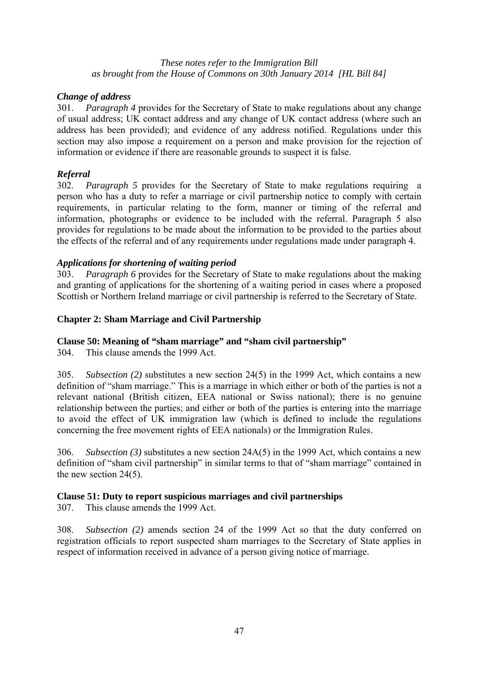# *Change of address*

301. *Paragraph 4* provides for the Secretary of State to make regulations about any change of usual address; UK contact address and any change of UK contact address (where such an address has been provided); and evidence of any address notified. Regulations under this section may also impose a requirement on a person and make provision for the rejection of information or evidence if there are reasonable grounds to suspect it is false.

# *Referral*

302. *Paragraph 5* provides for the Secretary of State to make regulations requiring a person who has a duty to refer a marriage or civil partnership notice to comply with certain requirements, in particular relating to the form, manner or timing of the referral and information, photographs or evidence to be included with the referral. Paragraph 5 also provides for regulations to be made about the information to be provided to the parties about the effects of the referral and of any requirements under regulations made under paragraph 4.

# *Applications for shortening of waiting period*

303. *Paragraph 6* provides for the Secretary of State to make regulations about the making and granting of applications for the shortening of a waiting period in cases where a proposed Scottish or Northern Ireland marriage or civil partnership is referred to the Secretary of State.

# **Chapter 2: Sham Marriage and Civil Partnership**

# **Clause 50: Meaning of "sham marriage" and "sham civil partnership"**

304. This clause amends the 1999 Act.

305. *Subsection (2)* substitutes a new section 24(5) in the 1999 Act, which contains a new definition of "sham marriage." This is a marriage in which either or both of the parties is not a relevant national (British citizen, EEA national or Swiss national); there is no genuine relationship between the parties; and either or both of the parties is entering into the marriage to avoid the effect of UK immigration law (which is defined to include the regulations concerning the free movement rights of EEA nationals) or the Immigration Rules.

306. *Subsection (3)* substitutes a new section 24A(5) in the 1999 Act, which contains a new definition of "sham civil partnership" in similar terms to that of "sham marriage" contained in the new section 24(5).

# **Clause 51: Duty to report suspicious marriages and civil partnerships**

307. This clause amends the 1999 Act.

308. *Subsection (2)* amends section 24 of the 1999 Act so that the duty conferred on registration officials to report suspected sham marriages to the Secretary of State applies in respect of information received in advance of a person giving notice of marriage.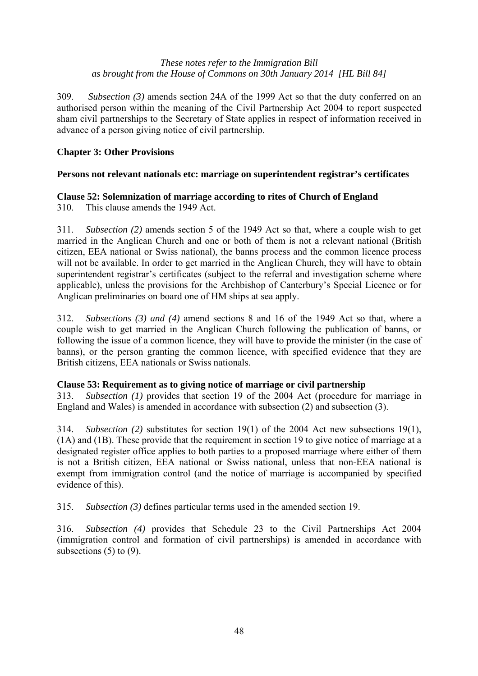309. *Subsection (3)* amends section 24A of the 1999 Act so that the duty conferred on an authorised person within the meaning of the Civil Partnership Act 2004 to report suspected sham civil partnerships to the Secretary of State applies in respect of information received in advance of a person giving notice of civil partnership.

# **Chapter 3: Other Provisions**

# **Persons not relevant nationals etc: marriage on superintendent registrar's certificates**

# **Clause 52: Solemnization of marriage according to rites of Church of England**

310. This clause amends the 1949 Act.

311. *Subsection (2)* amends section 5 of the 1949 Act so that, where a couple wish to get married in the Anglican Church and one or both of them is not a relevant national (British citizen, EEA national or Swiss national), the banns process and the common licence process will not be available. In order to get married in the Anglican Church, they will have to obtain superintendent registrar's certificates (subject to the referral and investigation scheme where applicable), unless the provisions for the Archbishop of Canterbury's Special Licence or for Anglican preliminaries on board one of HM ships at sea apply.

312. *Subsections (3) and (4)* amend sections 8 and 16 of the 1949 Act so that, where a couple wish to get married in the Anglican Church following the publication of banns, or following the issue of a common licence, they will have to provide the minister (in the case of banns), or the person granting the common licence, with specified evidence that they are British citizens, EEA nationals or Swiss nationals.

# **Clause 53: Requirement as to giving notice of marriage or civil partnership**

313. *Subsection (1)* provides that section 19 of the 2004 Act (procedure for marriage in England and Wales) is amended in accordance with subsection (2) and subsection (3).

314. *Subsection (2)* substitutes for section 19(1) of the 2004 Act new subsections 19(1), (1A) and (1B). These provide that the requirement in section 19 to give notice of marriage at a designated register office applies to both parties to a proposed marriage where either of them is not a British citizen, EEA national or Swiss national, unless that non-EEA national is exempt from immigration control (and the notice of marriage is accompanied by specified evidence of this).

315. *Subsection (3)* defines particular terms used in the amended section 19.

316. *Subsection (4)* provides that Schedule 23 to the Civil Partnerships Act 2004 (immigration control and formation of civil partnerships) is amended in accordance with subsections  $(5)$  to  $(9)$ .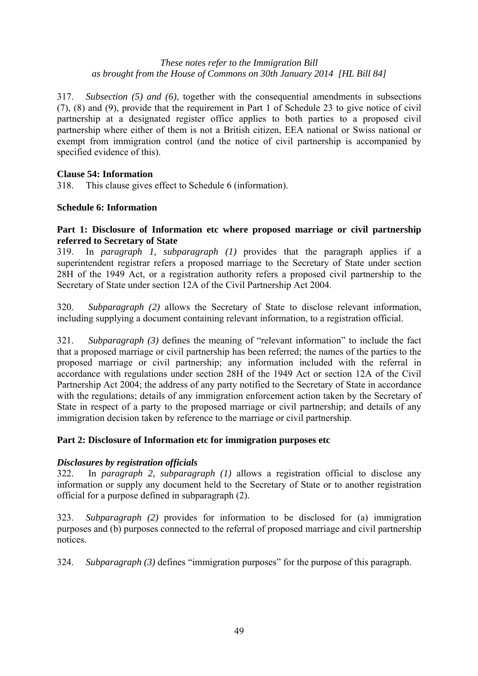317. *Subsection (5) and (6)*, together with the consequential amendments in subsections (7), (8) and (9), provide that the requirement in Part 1 of Schedule 23 to give notice of civil partnership at a designated register office applies to both parties to a proposed civil partnership where either of them is not a British citizen, EEA national or Swiss national or exempt from immigration control (and the notice of civil partnership is accompanied by specified evidence of this).

# **Clause 54: Information**

318. This clause gives effect to Schedule 6 (information).

# **Schedule 6: Information**

# Part 1: Disclosure of Information etc where proposed marriage or civil partnership **referred to Secretary of State**

319. In *paragraph 1, subparagraph (1)* provides that the paragraph applies if a superintendent registrar refers a proposed marriage to the Secretary of State under section 28H of the 1949 Act, or a registration authority refers a proposed civil partnership to the Secretary of State under section 12A of the Civil Partnership Act 2004.

320. *Subparagraph (2)* allows the Secretary of State to disclose relevant information, including supplying a document containing relevant information, to a registration official.

321. *Subparagraph (3)* defines the meaning of "relevant information" to include the fact that a proposed marriage or civil partnership has been referred; the names of the parties to the proposed marriage or civil partnership; any information included with the referral in accordance with regulations under section 28H of the 1949 Act or section 12A of the Civil Partnership Act 2004; the address of any party notified to the Secretary of State in accordance with the regulations; details of any immigration enforcement action taken by the Secretary of State in respect of a party to the proposed marriage or civil partnership; and details of any immigration decision taken by reference to the marriage or civil partnership.

# **Part 2: Disclosure of Information etc for immigration purposes etc**

# *Disclosures by registration officials*

322. In *paragraph 2, subparagraph (1)* allows a registration official to disclose any information or supply any document held to the Secretary of State or to another registration official for a purpose defined in subparagraph (2).

323. *Subparagraph (2)* provides for information to be disclosed for (a) immigration purposes and (b) purposes connected to the referral of proposed marriage and civil partnership notices.

324. *Subparagraph (3)* defines "immigration purposes" for the purpose of this paragraph.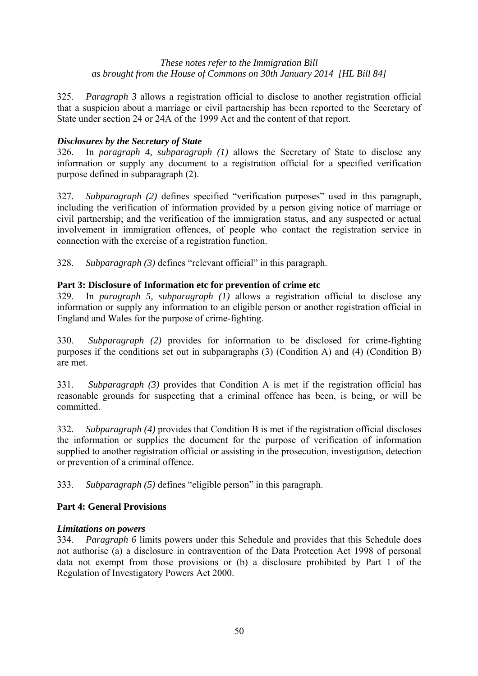325. *Paragraph 3* allows a registration official to disclose to another registration official that a suspicion about a marriage or civil partnership has been reported to the Secretary of State under section 24 or 24A of the 1999 Act and the content of that report.

# *Disclosures by the Secretary of State*

326. In *paragraph 4, subparagraph (1)* allows the Secretary of State to disclose any information or supply any document to a registration official for a specified verification purpose defined in subparagraph (2).

327. *Subparagraph (2)* defines specified "verification purposes" used in this paragraph, including the verification of information provided by a person giving notice of marriage or civil partnership; and the verification of the immigration status, and any suspected or actual involvement in immigration offences, of people who contact the registration service in connection with the exercise of a registration function.

328. *Subparagraph (3)* defines "relevant official" in this paragraph.

# **Part 3: Disclosure of Information etc for prevention of crime etc**

329. In *paragraph 5, subparagraph (1)* allows a registration official to disclose any information or supply any information to an eligible person or another registration official in England and Wales for the purpose of crime-fighting.

330. *Subparagraph (2)* provides for information to be disclosed for crime-fighting purposes if the conditions set out in subparagraphs (3) (Condition A) and (4) (Condition B) are met.

331. *Subparagraph (3)* provides that Condition A is met if the registration official has reasonable grounds for suspecting that a criminal offence has been, is being, or will be committed.

332. *Subparagraph (4)* provides that Condition B is met if the registration official discloses the information or supplies the document for the purpose of verification of information supplied to another registration official or assisting in the prosecution, investigation, detection or prevention of a criminal offence.

333. *Subparagraph (5)* defines "eligible person" in this paragraph.

# **Part 4: General Provisions**

# *Limitations on powers*

334. *Paragraph 6* limits powers under this Schedule and provides that this Schedule does not authorise (a) a disclosure in contravention of the Data Protection Act 1998 of personal data not exempt from those provisions or (b) a disclosure prohibited by Part 1 of the Regulation of Investigatory Powers Act 2000.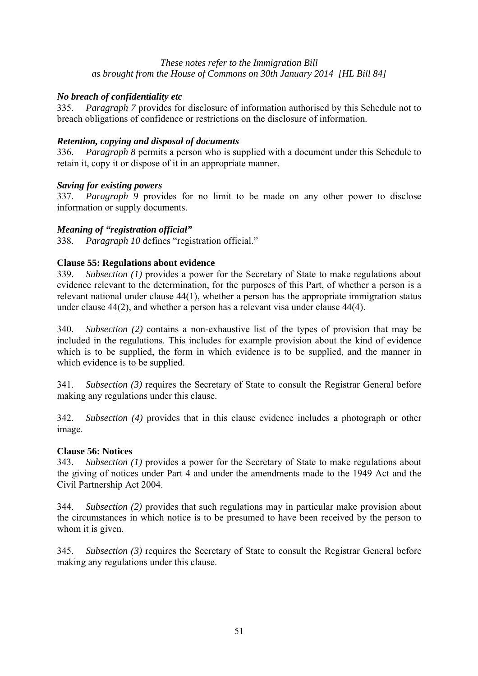# *No breach of confidentiality etc*

335. *Paragraph 7* provides for disclosure of information authorised by this Schedule not to breach obligations of confidence or restrictions on the disclosure of information.

# *Retention, copying and disposal of documents*

336. *Paragraph 8* permits a person who is supplied with a document under this Schedule to retain it, copy it or dispose of it in an appropriate manner.

# *Saving for existing powers*

337. *Paragraph 9* provides for no limit to be made on any other power to disclose information or supply documents.

# *Meaning of "registration official"*

338. *Paragraph 10* defines "registration official."

# **Clause 55: Regulations about evidence**

339. *Subsection (1)* provides a power for the Secretary of State to make regulations about evidence relevant to the determination, for the purposes of this Part, of whether a person is a relevant national under clause 44(1), whether a person has the appropriate immigration status under clause 44(2), and whether a person has a relevant visa under clause 44(4).

340. *Subsection (2)* contains a non-exhaustive list of the types of provision that may be included in the regulations. This includes for example provision about the kind of evidence which is to be supplied, the form in which evidence is to be supplied, and the manner in which evidence is to be supplied.

341. *Subsection (3)* requires the Secretary of State to consult the Registrar General before making any regulations under this clause.

342. *Subsection (4)* provides that in this clause evidence includes a photograph or other image.

# **Clause 56: Notices**

343. *Subsection (1)* provides a power for the Secretary of State to make regulations about the giving of notices under Part 4 and under the amendments made to the 1949 Act and the Civil Partnership Act 2004.

344. *Subsection (2)* provides that such regulations may in particular make provision about the circumstances in which notice is to be presumed to have been received by the person to whom it is given.

345. *Subsection (3)* requires the Secretary of State to consult the Registrar General before making any regulations under this clause.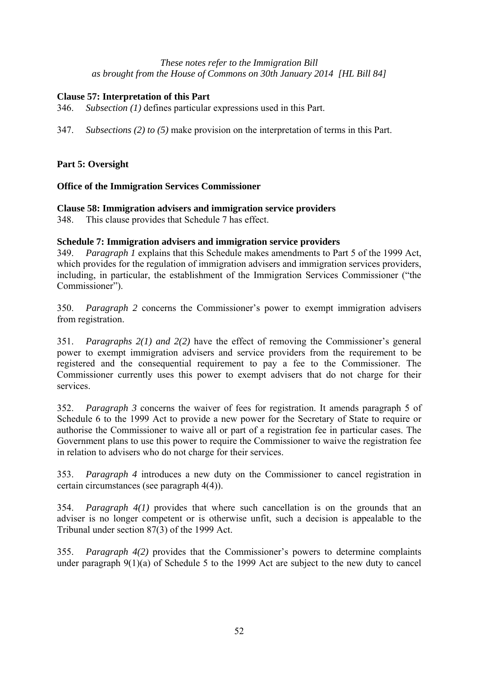# **Clause 57: Interpretation of this Part**

346. *Subsection (1)* defines particular expressions used in this Part.

347. *Subsections (2) to (5)* make provision on the interpretation of terms in this Part.

# **Part 5: Oversight**

# **Office of the Immigration Services Commissioner**

# **Clause 58: Immigration advisers and immigration service providers**

348. This clause provides that Schedule 7 has effect.

# **Schedule 7: Immigration advisers and immigration service providers**

349. *Paragraph 1* explains that this Schedule makes amendments to Part 5 of the 1999 Act, which provides for the regulation of immigration advisers and immigration services providers, including, in particular, the establishment of the Immigration Services Commissioner ("the Commissioner").

350. *Paragraph 2* concerns the Commissioner's power to exempt immigration advisers from registration.

351. *Paragraphs 2(1) and 2(2)* have the effect of removing the Commissioner's general power to exempt immigration advisers and service providers from the requirement to be registered and the consequential requirement to pay a fee to the Commissioner. The Commissioner currently uses this power to exempt advisers that do not charge for their services.

352. *Paragraph 3* concerns the waiver of fees for registration. It amends paragraph 5 of Schedule 6 to the 1999 Act to provide a new power for the Secretary of State to require or authorise the Commissioner to waive all or part of a registration fee in particular cases. The Government plans to use this power to require the Commissioner to waive the registration fee in relation to advisers who do not charge for their services.

353. *Paragraph 4* introduces a new duty on the Commissioner to cancel registration in certain circumstances (see paragraph 4(4)).

354. *Paragraph 4(1)* provides that where such cancellation is on the grounds that an adviser is no longer competent or is otherwise unfit, such a decision is appealable to the Tribunal under section 87(3) of the 1999 Act.

355. *Paragraph 4(2)* provides that the Commissioner's powers to determine complaints under paragraph 9(1)(a) of Schedule 5 to the 1999 Act are subject to the new duty to cancel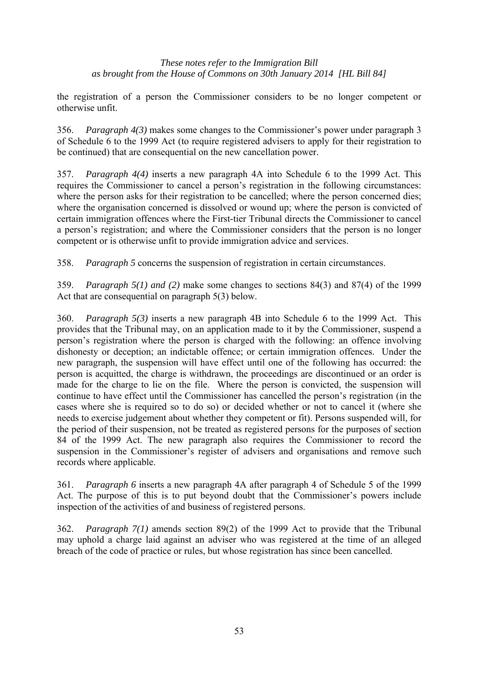the registration of a person the Commissioner considers to be no longer competent or otherwise unfit.

356. *Paragraph 4(3)* makes some changes to the Commissioner's power under paragraph 3 of Schedule 6 to the 1999 Act (to require registered advisers to apply for their registration to be continued) that are consequential on the new cancellation power.

357. *Paragraph 4(4)* inserts a new paragraph 4A into Schedule 6 to the 1999 Act. This requires the Commissioner to cancel a person's registration in the following circumstances: where the person asks for their registration to be cancelled; where the person concerned dies; where the organisation concerned is dissolved or wound up; where the person is convicted of certain immigration offences where the First-tier Tribunal directs the Commissioner to cancel a person's registration; and where the Commissioner considers that the person is no longer competent or is otherwise unfit to provide immigration advice and services.

358. *Paragraph 5* concerns the suspension of registration in certain circumstances.

359. *Paragraph 5(1) and (2)* make some changes to sections 84(3) and 87(4) of the 1999 Act that are consequential on paragraph 5(3) below.

360. *Paragraph 5(3)* inserts a new paragraph 4B into Schedule 6 to the 1999 Act. This provides that the Tribunal may, on an application made to it by the Commissioner, suspend a person's registration where the person is charged with the following: an offence involving dishonesty or deception; an indictable offence; or certain immigration offences. Under the new paragraph, the suspension will have effect until one of the following has occurred: the person is acquitted, the charge is withdrawn, the proceedings are discontinued or an order is made for the charge to lie on the file. Where the person is convicted, the suspension will continue to have effect until the Commissioner has cancelled the person's registration (in the cases where she is required so to do so) or decided whether or not to cancel it (where she needs to exercise judgement about whether they competent or fit). Persons suspended will, for the period of their suspension, not be treated as registered persons for the purposes of section 84 of the 1999 Act. The new paragraph also requires the Commissioner to record the suspension in the Commissioner's register of advisers and organisations and remove such records where applicable.

361. *Paragraph 6* inserts a new paragraph 4A after paragraph 4 of Schedule 5 of the 1999 Act. The purpose of this is to put beyond doubt that the Commissioner's powers include inspection of the activities of and business of registered persons.

362. *Paragraph 7(1)* amends section 89(2) of the 1999 Act to provide that the Tribunal may uphold a charge laid against an adviser who was registered at the time of an alleged breach of the code of practice or rules, but whose registration has since been cancelled.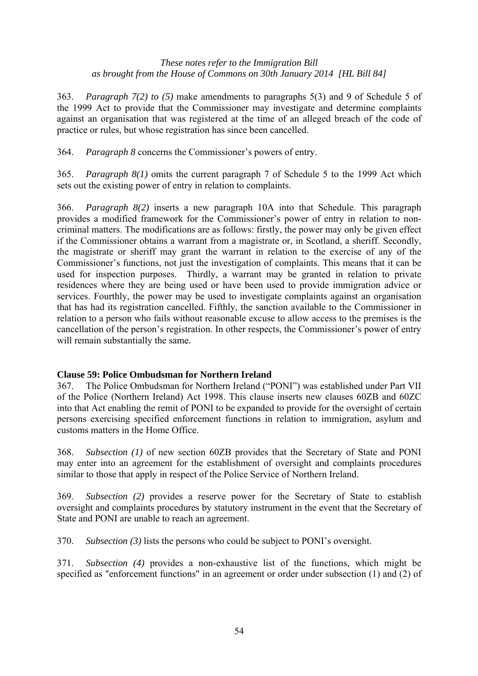363. *Paragraph 7(2) to (5)* make amendments to paragraphs 5(3) and 9 of Schedule 5 of the 1999 Act to provide that the Commissioner may investigate and determine complaints against an organisation that was registered at the time of an alleged breach of the code of practice or rules, but whose registration has since been cancelled.

364. *Paragraph 8* concerns the Commissioner's powers of entry.

365. *Paragraph 8(1)* omits the current paragraph 7 of Schedule 5 to the 1999 Act which sets out the existing power of entry in relation to complaints.

366. *Paragraph 8(2)* inserts a new paragraph 10A into that Schedule. This paragraph provides a modified framework for the Commissioner's power of entry in relation to noncriminal matters. The modifications are as follows: firstly, the power may only be given effect if the Commissioner obtains a warrant from a magistrate or, in Scotland, a sheriff. Secondly, the magistrate or sheriff may grant the warrant in relation to the exercise of any of the Commissioner's functions, not just the investigation of complaints. This means that it can be used for inspection purposes. Thirdly, a warrant may be granted in relation to private residences where they are being used or have been used to provide immigration advice or services. Fourthly, the power may be used to investigate complaints against an organisation that has had its registration cancelled. Fifthly, the sanction available to the Commissioner in relation to a person who fails without reasonable excuse to allow access to the premises is the cancellation of the person's registration. In other respects, the Commissioner's power of entry will remain substantially the same.

# **Clause 59: Police Ombudsman for Northern Ireland**

367. The Police Ombudsman for Northern Ireland ("PONI") was established under Part VII of the Police (Northern Ireland) Act 1998. This clause inserts new clauses 60ZB and 60ZC into that Act enabling the remit of PONI to be expanded to provide for the oversight of certain persons exercising specified enforcement functions in relation to immigration, asylum and customs matters in the Home Office.

368. *Subsection (1)* of new section 60ZB provides that the Secretary of State and PONI may enter into an agreement for the establishment of oversight and complaints procedures similar to those that apply in respect of the Police Service of Northern Ireland.

369. *Subsection (2)* provides a reserve power for the Secretary of State to establish oversight and complaints procedures by statutory instrument in the event that the Secretary of State and PONI are unable to reach an agreement.

370. *Subsection (3)* lists the persons who could be subject to PONI's oversight.

371. *Subsection (4)* provides a non-exhaustive list of the functions, which might be specified as "enforcement functions" in an agreement or order under subsection (1) and (2) of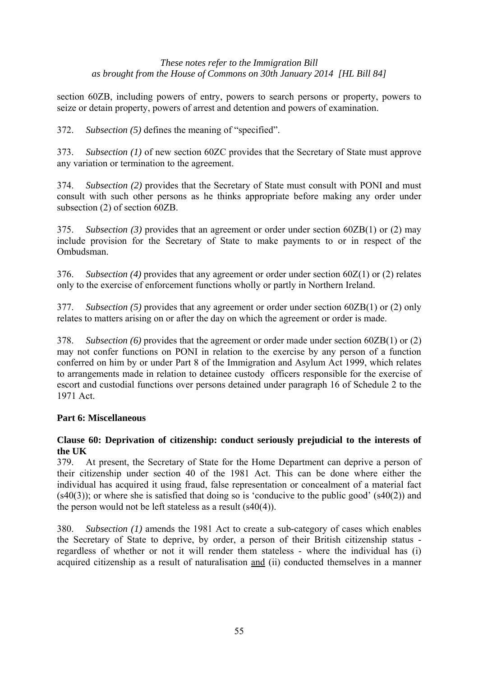section 60ZB, including powers of entry, powers to search persons or property, powers to seize or detain property, powers of arrest and detention and powers of examination.

372. *Subsection (5)* defines the meaning of "specified".

373. *Subsection (1)* of new section 60ZC provides that the Secretary of State must approve any variation or termination to the agreement.

374. *Subsection (2)* provides that the Secretary of State must consult with PONI and must consult with such other persons as he thinks appropriate before making any order under subsection (2) of section 60ZB.

375. *Subsection (3)* provides that an agreement or order under section 60ZB(1) or (2) may include provision for the Secretary of State to make payments to or in respect of the Ombudsman.

376. *Subsection (4)* provides that any agreement or order under section 60Z(1) or (2) relates only to the exercise of enforcement functions wholly or partly in Northern Ireland.

377. *Subsection (5)* provides that any agreement or order under section 60ZB(1) or (2) only relates to matters arising on or after the day on which the agreement or order is made.

378. *Subsection (6)* provides that the agreement or order made under section 60ZB(1) or (2) may not confer functions on PONI in relation to the exercise by any person of a function conferred on him by or under Part 8 of the Immigration and Asylum Act 1999, which relates to arrangements made in relation to detainee custody officers responsible for the exercise of escort and custodial functions over persons detained under paragraph 16 of Schedule 2 to the 1971 Act.

# **Part 6: Miscellaneous**

# **Clause 60: Deprivation of citizenship: conduct seriously prejudicial to the interests of the UK**

379. At present, the Secretary of State for the Home Department can deprive a person of their citizenship under section 40 of the 1981 Act. This can be done where either the individual has acquired it using fraud, false representation or concealment of a material fact  $(s40(3))$ ; or where she is satisfied that doing so is 'conducive to the public good'  $(s40(2))$  and the person would not be left stateless as a result (s40(4)).

380. *Subsection (1)* amends the 1981 Act to create a sub-category of cases which enables the Secretary of State to deprive, by order, a person of their British citizenship status regardless of whether or not it will render them stateless - where the individual has (i) acquired citizenship as a result of naturalisation and (ii) conducted themselves in a manner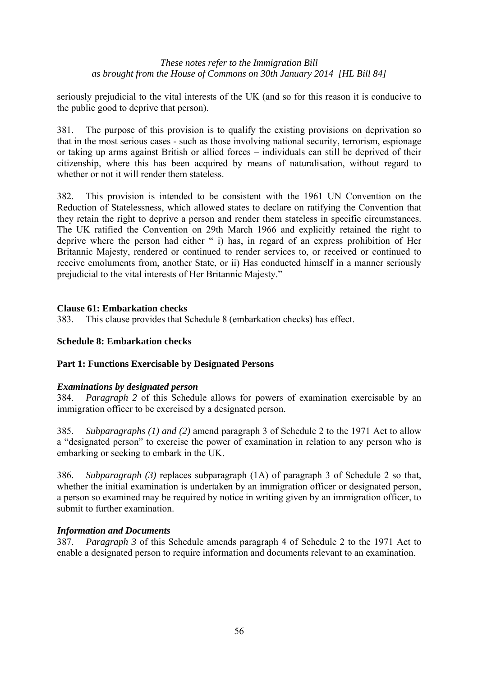seriously prejudicial to the vital interests of the UK (and so for this reason it is conducive to the public good to deprive that person).

381. The purpose of this provision is to qualify the existing provisions on deprivation so that in the most serious cases - such as those involving national security, terrorism, espionage or taking up arms against British or allied forces – individuals can still be deprived of their citizenship, where this has been acquired by means of naturalisation, without regard to whether or not it will render them stateless.

382. This provision is intended to be consistent with the 1961 UN Convention on the Reduction of Statelessness, which allowed states to declare on ratifying the Convention that they retain the right to deprive a person and render them stateless in specific circumstances. The UK ratified the Convention on 29th March 1966 and explicitly retained the right to deprive where the person had either " i) has, in regard of an express prohibition of Her Britannic Majesty, rendered or continued to render services to, or received or continued to receive emoluments from, another State, or ii) Has conducted himself in a manner seriously prejudicial to the vital interests of Her Britannic Majesty."

# **Clause 61: Embarkation checks**

383. This clause provides that Schedule 8 (embarkation checks) has effect.

# **Schedule 8: Embarkation checks**

# **Part 1: Functions Exercisable by Designated Persons**

#### *Examinations by designated person*

384. *Paragraph 2* of this Schedule allows for powers of examination exercisable by an immigration officer to be exercised by a designated person.

385. *Subparagraphs (1) and (2)* amend paragraph 3 of Schedule 2 to the 1971 Act to allow a "designated person" to exercise the power of examination in relation to any person who is embarking or seeking to embark in the UK.

386. *Subparagraph (3)* replaces subparagraph (1A) of paragraph 3 of Schedule 2 so that, whether the initial examination is undertaken by an immigration officer or designated person, a person so examined may be required by notice in writing given by an immigration officer, to submit to further examination.

#### *Information and Documents*

387. *Paragraph 3* of this Schedule amends paragraph 4 of Schedule 2 to the 1971 Act to enable a designated person to require information and documents relevant to an examination.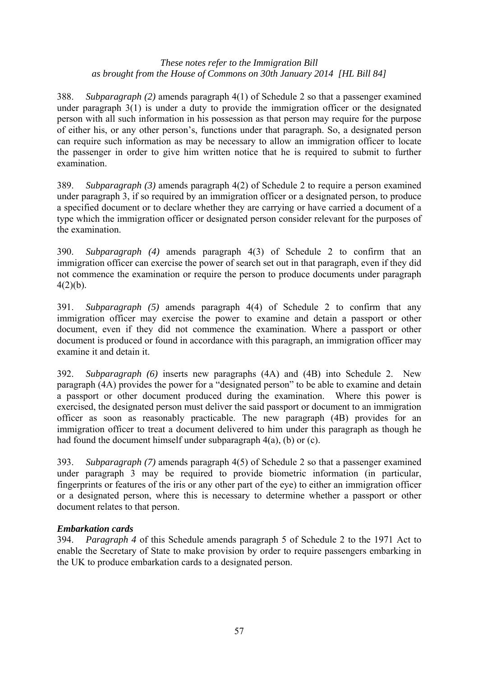388. *Subparagraph (2)* amends paragraph 4(1) of Schedule 2 so that a passenger examined under paragraph 3(1) is under a duty to provide the immigration officer or the designated person with all such information in his possession as that person may require for the purpose of either his, or any other person's, functions under that paragraph. So, a designated person can require such information as may be necessary to allow an immigration officer to locate the passenger in order to give him written notice that he is required to submit to further examination.

389. *Subparagraph (3)* amends paragraph 4(2) of Schedule 2 to require a person examined under paragraph 3, if so required by an immigration officer or a designated person, to produce a specified document or to declare whether they are carrying or have carried a document of a type which the immigration officer or designated person consider relevant for the purposes of the examination.

390. *Subparagraph (4)* amends paragraph 4(3) of Schedule 2 to confirm that an immigration officer can exercise the power of search set out in that paragraph, even if they did not commence the examination or require the person to produce documents under paragraph  $4(2)(b)$ .

391. *Subparagraph (5)* amends paragraph 4(4) of Schedule 2 to confirm that any immigration officer may exercise the power to examine and detain a passport or other document, even if they did not commence the examination. Where a passport or other document is produced or found in accordance with this paragraph, an immigration officer may examine it and detain it.

392. *Subparagraph (6)* inserts new paragraphs (4A) and (4B) into Schedule 2. New paragraph (4A) provides the power for a "designated person" to be able to examine and detain a passport or other document produced during the examination. Where this power is exercised, the designated person must deliver the said passport or document to an immigration officer as soon as reasonably practicable. The new paragraph (4B) provides for an immigration officer to treat a document delivered to him under this paragraph as though he had found the document himself under subparagraph 4(a), (b) or (c).

393. *Subparagraph (7)* amends paragraph 4(5) of Schedule 2 so that a passenger examined under paragraph 3 may be required to provide biometric information (in particular, fingerprints or features of the iris or any other part of the eye) to either an immigration officer or a designated person, where this is necessary to determine whether a passport or other document relates to that person.

# *Embarkation cards*

394. *Paragraph 4* of this Schedule amends paragraph 5 of Schedule 2 to the 1971 Act to enable the Secretary of State to make provision by order to require passengers embarking in the UK to produce embarkation cards to a designated person.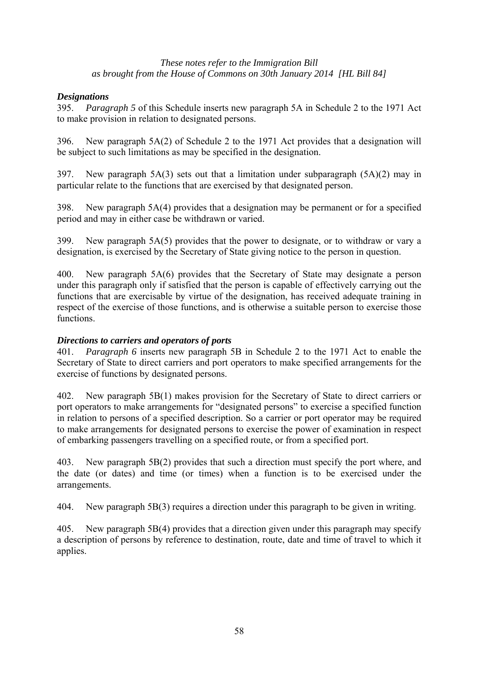# *Designations*

395. *Paragraph 5* of this Schedule inserts new paragraph 5A in Schedule 2 to the 1971 Act to make provision in relation to designated persons.

396. New paragraph 5A(2) of Schedule 2 to the 1971 Act provides that a designation will be subject to such limitations as may be specified in the designation.

397. New paragraph 5A(3) sets out that a limitation under subparagraph (5A)(2) may in particular relate to the functions that are exercised by that designated person.

398. New paragraph 5A(4) provides that a designation may be permanent or for a specified period and may in either case be withdrawn or varied.

399. New paragraph 5A(5) provides that the power to designate, or to withdraw or vary a designation, is exercised by the Secretary of State giving notice to the person in question.

400. New paragraph 5A(6) provides that the Secretary of State may designate a person under this paragraph only if satisfied that the person is capable of effectively carrying out the functions that are exercisable by virtue of the designation, has received adequate training in respect of the exercise of those functions, and is otherwise a suitable person to exercise those functions.

# *Directions to carriers and operators of ports*

401. *Paragraph 6* inserts new paragraph 5B in Schedule 2 to the 1971 Act to enable the Secretary of State to direct carriers and port operators to make specified arrangements for the exercise of functions by designated persons.

402. New paragraph 5B(1) makes provision for the Secretary of State to direct carriers or port operators to make arrangements for "designated persons" to exercise a specified function in relation to persons of a specified description. So a carrier or port operator may be required to make arrangements for designated persons to exercise the power of examination in respect of embarking passengers travelling on a specified route, or from a specified port.

403. New paragraph 5B(2) provides that such a direction must specify the port where, and the date (or dates) and time (or times) when a function is to be exercised under the arrangements.

404. New paragraph 5B(3) requires a direction under this paragraph to be given in writing.

405. New paragraph 5B(4) provides that a direction given under this paragraph may specify a description of persons by reference to destination, route, date and time of travel to which it applies.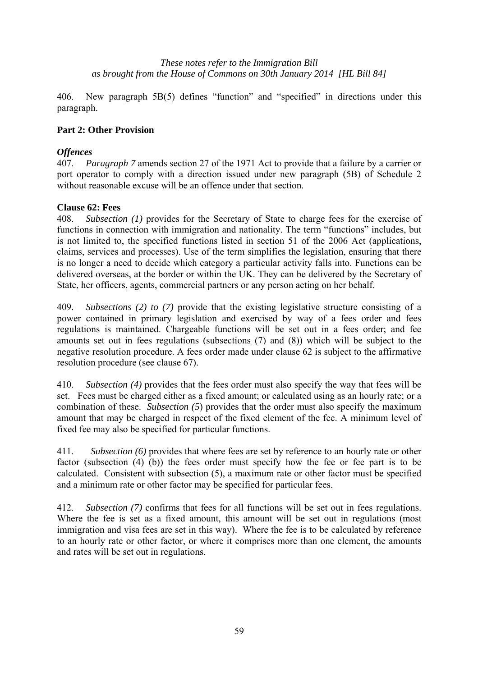406. New paragraph 5B(5) defines "function" and "specified" in directions under this paragraph.

# **Part 2: Other Provision**

### *Offences*

407. *Paragraph 7* amends section 27 of the 1971 Act to provide that a failure by a carrier or port operator to comply with a direction issued under new paragraph (5B) of Schedule 2 without reasonable excuse will be an offence under that section.

#### **Clause 62: Fees**

408. *Subsection (1)* provides for the Secretary of State to charge fees for the exercise of functions in connection with immigration and nationality. The term "functions" includes, but is not limited to, the specified functions listed in section 51 of the 2006 Act (applications, claims, services and processes). Use of the term simplifies the legislation, ensuring that there is no longer a need to decide which category a particular activity falls into. Functions can be delivered overseas, at the border or within the UK. They can be delivered by the Secretary of State, her officers, agents, commercial partners or any person acting on her behalf.

409. *Subsections (2) to (7)* provide that the existing legislative structure consisting of a power contained in primary legislation and exercised by way of a fees order and fees regulations is maintained. Chargeable functions will be set out in a fees order; and fee amounts set out in fees regulations (subsections (7) and (8)) which will be subject to the negative resolution procedure. A fees order made under clause 62 is subject to the affirmative resolution procedure (see clause 67).

410. *Subsection (4)* provides that the fees order must also specify the way that fees will be set. Fees must be charged either as a fixed amount; or calculated using as an hourly rate; or a combination of these. *Subsection (5*) provides that the order must also specify the maximum amount that may be charged in respect of the fixed element of the fee. A minimum level of fixed fee may also be specified for particular functions.

411. *Subsection (6)* provides that where fees are set by reference to an hourly rate or other factor (subsection (4) (b)) the fees order must specify how the fee or fee part is to be calculated. Consistent with subsection (5), a maximum rate or other factor must be specified and a minimum rate or other factor may be specified for particular fees.

412. *Subsection (7)* confirms that fees for all functions will be set out in fees regulations. Where the fee is set as a fixed amount, this amount will be set out in regulations (most immigration and visa fees are set in this way). Where the fee is to be calculated by reference to an hourly rate or other factor, or where it comprises more than one element, the amounts and rates will be set out in regulations.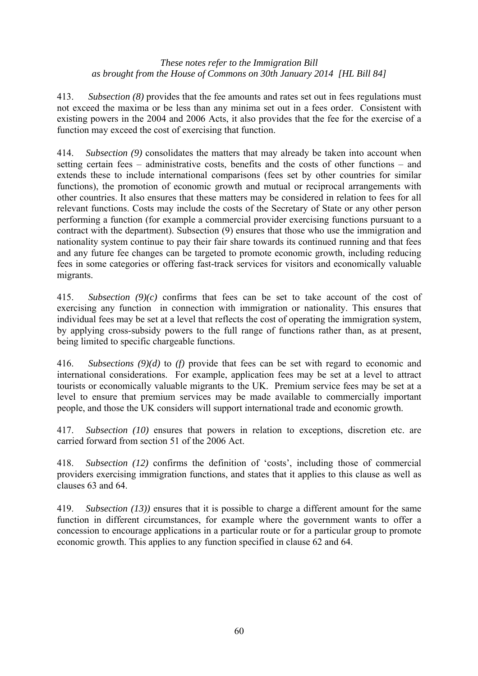413. *Subsection (8)* provides that the fee amounts and rates set out in fees regulations must not exceed the maxima or be less than any minima set out in a fees order. Consistent with existing powers in the 2004 and 2006 Acts, it also provides that the fee for the exercise of a function may exceed the cost of exercising that function.

414. *Subsection (9)* consolidates the matters that may already be taken into account when setting certain fees – administrative costs, benefits and the costs of other functions – and extends these to include international comparisons (fees set by other countries for similar functions), the promotion of economic growth and mutual or reciprocal arrangements with other countries. It also ensures that these matters may be considered in relation to fees for all relevant functions. Costs may include the costs of the Secretary of State or any other person performing a function (for example a commercial provider exercising functions pursuant to a contract with the department). Subsection (9) ensures that those who use the immigration and nationality system continue to pay their fair share towards its continued running and that fees and any future fee changes can be targeted to promote economic growth, including reducing fees in some categories or offering fast-track services for visitors and economically valuable migrants.

415. *Subsection (9)(c)* confirms that fees can be set to take account of the cost of exercising any function in connection with immigration or nationality. This ensures that individual fees may be set at a level that reflects the cost of operating the immigration system, by applying cross-subsidy powers to the full range of functions rather than, as at present, being limited to specific chargeable functions.

416. *Subsections (9)(d)* to *(f)* provide that fees can be set with regard to economic and international considerations. For example, application fees may be set at a level to attract tourists or economically valuable migrants to the UK. Premium service fees may be set at a level to ensure that premium services may be made available to commercially important people, and those the UK considers will support international trade and economic growth.

417. *Subsection (10)* ensures that powers in relation to exceptions, discretion etc. are carried forward from section 51 of the 2006 Act.

418. *Subsection (12)* confirms the definition of 'costs', including those of commercial providers exercising immigration functions, and states that it applies to this clause as well as clauses 63 and 64.

419. *Subsection (13))* ensures that it is possible to charge a different amount for the same function in different circumstances, for example where the government wants to offer a concession to encourage applications in a particular route or for a particular group to promote economic growth. This applies to any function specified in clause 62 and 64.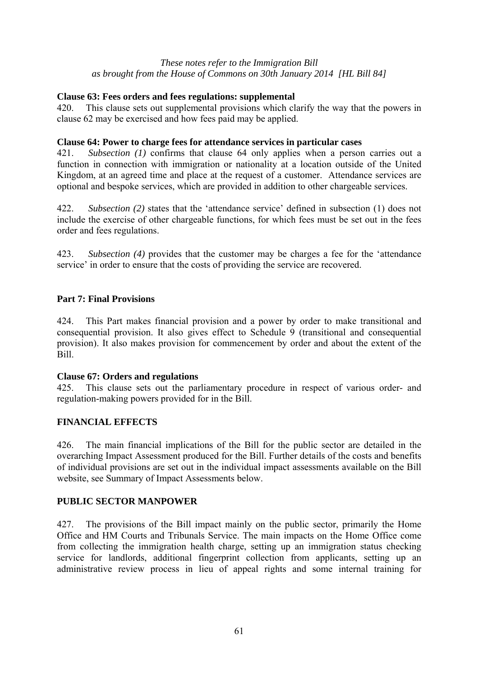# **Clause 63: Fees orders and fees regulations: supplemental**

420. This clause sets out supplemental provisions which clarify the way that the powers in clause 62 may be exercised and how fees paid may be applied.

#### **Clause 64: Power to charge fees for attendance services in particular cases**

421. *Subsection (1)* confirms that clause 64 only applies when a person carries out a function in connection with immigration or nationality at a location outside of the United Kingdom, at an agreed time and place at the request of a customer. Attendance services are optional and bespoke services, which are provided in addition to other chargeable services.

422. *Subsection (2)* states that the 'attendance service' defined in subsection (1) does not include the exercise of other chargeable functions, for which fees must be set out in the fees order and fees regulations.

423. *Subsection (4)* provides that the customer may be charges a fee for the 'attendance service' in order to ensure that the costs of providing the service are recovered.

### **Part 7: Final Provisions**

424. This Part makes financial provision and a power by order to make transitional and consequential provision. It also gives effect to Schedule 9 (transitional and consequential provision). It also makes provision for commencement by order and about the extent of the Bill.

#### **Clause 67: Orders and regulations**

425. This clause sets out the parliamentary procedure in respect of various order- and regulation-making powers provided for in the Bill.

# **FINANCIAL EFFECTS**

426. The main financial implications of the Bill for the public sector are detailed in the overarching Impact Assessment produced for the Bill. Further details of the costs and benefits of individual provisions are set out in the individual impact assessments available on the Bill website, see Summary of Impact Assessments below.

# **PUBLIC SECTOR MANPOWER**

427. The provisions of the Bill impact mainly on the public sector, primarily the Home Office and HM Courts and Tribunals Service. The main impacts on the Home Office come from collecting the immigration health charge, setting up an immigration status checking service for landlords, additional fingerprint collection from applicants, setting up an administrative review process in lieu of appeal rights and some internal training for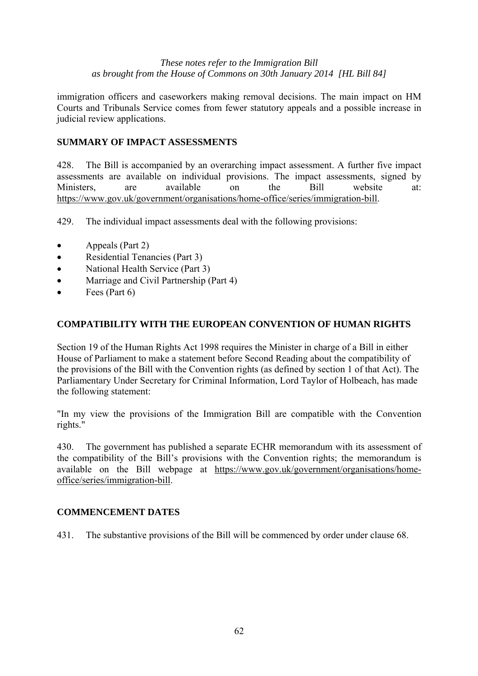immigration officers and caseworkers making removal decisions. The main impact on HM Courts and Tribunals Service comes from fewer statutory appeals and a possible increase in judicial review applications.

# **SUMMARY OF IMPACT ASSESSMENTS**

428. The Bill is accompanied by an overarching impact assessment. A further five impact assessments are available on individual provisions. The impact assessments, signed by Ministers, are available on the Bill website at: https://www.gov.uk/government/organisations/home-office/series/immigration-bill.

429. The individual impact assessments deal with the following provisions:

- Appeals (Part 2)
- Residential Tenancies (Part 3)
- National Health Service (Part 3)
- Marriage and Civil Partnership (Part 4)
- $\bullet$  Fees (Part 6)

# **COMPATIBILITY WITH THE EUROPEAN CONVENTION OF HUMAN RIGHTS**

Section 19 of the Human Rights Act 1998 requires the Minister in charge of a Bill in either House of Parliament to make a statement before Second Reading about the compatibility of the provisions of the Bill with the Convention rights (as defined by section 1 of that Act). The Parliamentary Under Secretary for Criminal Information, Lord Taylor of Holbeach, has made the following statement:

"In my view the provisions of the Immigration Bill are compatible with the Convention rights."

430. The government has published a separate ECHR memorandum with its assessment of the compatibility of the Bill's provisions with the Convention rights; the memorandum is available on the Bill webpage at https://www.gov.uk/government/organisations/homeoffice/series/immigration-bill.

#### **COMMENCEMENT DATES**

431. The substantive provisions of the Bill will be commenced by order under clause 68.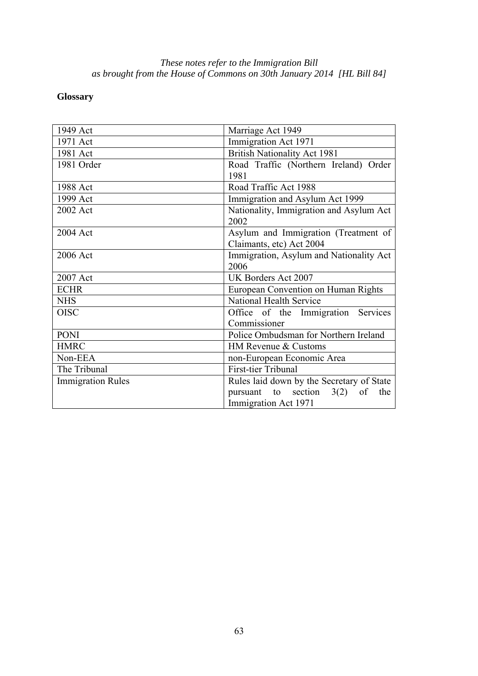# **Glossary**

| 1949 Act                 | Marriage Act 1949                                                |
|--------------------------|------------------------------------------------------------------|
| 1971 Act                 | Immigration Act 1971                                             |
| 1981 Act                 | <b>British Nationality Act 1981</b>                              |
| 1981 Order               | Road Traffic (Northern Ireland) Order<br>1981                    |
| 1988 Act                 | Road Traffic Act 1988                                            |
| 1999 Act                 | Immigration and Asylum Act 1999                                  |
| 2002 Act                 | Nationality, Immigration and Asylum Act<br>2002                  |
| 2004 Act                 | Asylum and Immigration (Treatment of<br>Claimants, etc) Act 2004 |
| 2006 Act                 | Immigration, Asylum and Nationality Act<br>2006                  |
| 2007 Act                 | UK Borders Act 2007                                              |
| <b>ECHR</b>              | European Convention on Human Rights                              |
| <b>NHS</b>               | National Health Service                                          |
| <b>OISC</b>              | Office of the Immigration Services<br>Commissioner               |
| <b>PONI</b>              | Police Ombudsman for Northern Ireland                            |
| <b>HMRC</b>              | HM Revenue & Customs                                             |
| Non-EEA                  | non-European Economic Area                                       |
| The Tribunal             | First-tier Tribunal                                              |
| <b>Immigration Rules</b> | Rules laid down by the Secretary of State                        |
|                          | pursuant to section $3(2)$<br>of<br>the                          |
|                          | Immigration Act 1971                                             |